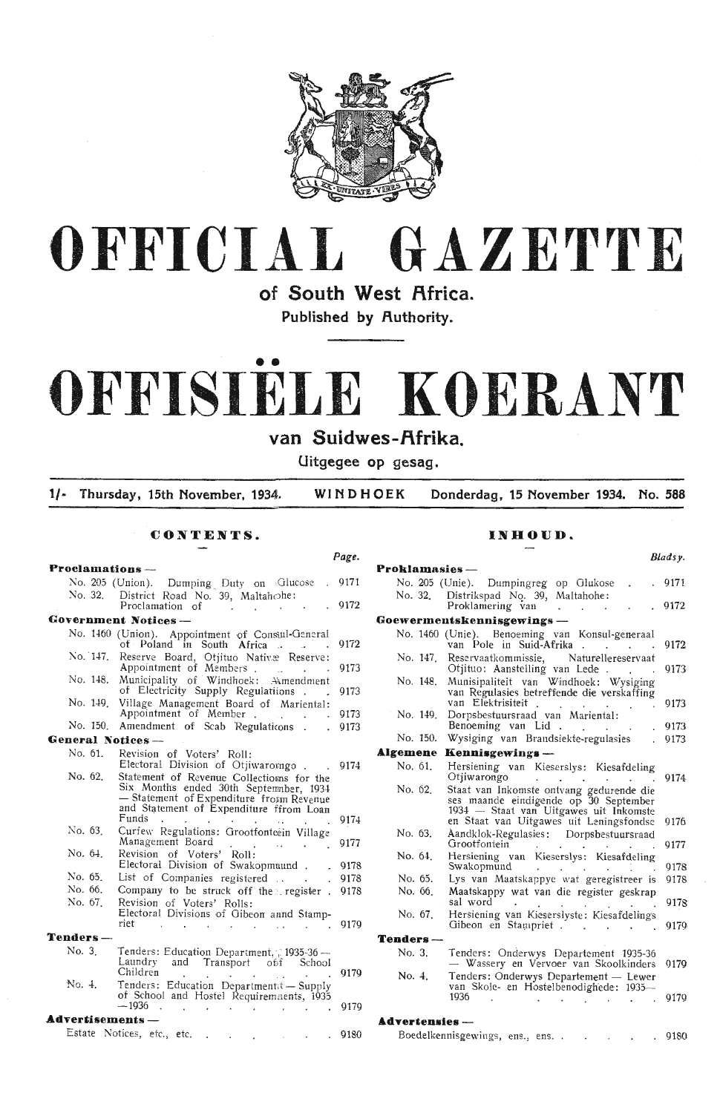



of South West Africa.

Published by Authority.

# OFFISIELE KOERANT

van Suidwes-Afrika.

Uitgegee op gesag.

 $1/-$ Thursday, 15th November, 1934. WINDHOEK Donderdag, 15 November 1934. No. 588

### CONTENTS.

### Page. Proclamations-No. 205 (Union). Dumping Duty on Glucose . 9171 District Road No. 39, Maltahohe:<br>Proclamation of No. 32. 9172 **Government Notices-**No. 1460 (Union). Appointment of Consul-General<br>of Poland in South Africa 9172 No. 147. Reserve Board, Offituo Nativæ Reserve:<br>Appointment of Members<br>No. 148. Municipality of Windhoek: Amendment<br>of Electricity Supply Regulations 9173 9173 No. 149. Village Management Board of Mariental:<br>Appointment of Member.<br>No. 150. Amendment of Scab Regulations. 9173 9173 **General Notices-**Revision of Voters' Roll:<br>Electoral Division of Otjiwaromgo. No. 61.  $.9174$ Statement of Revenue Collections for the<br>Six Months ended 30th September, 1934<br>- Statement of Expenditure from Revenue No. 62. and Statement of Expenditure ffrom Loan Funds 9174  $\sim$ No. 63. Curfew Regulations: Grootfonteein Village Management Board 9177 Management Board<br>Revision of Voters' Roll:<br>Electoral Division of Swakopmuund. No. 64. 9178 No. 65.  $\quad$  List of Companies registered  $\ldots$ 9178 No. 66. Company to be struck off the register . 9178 Revision of Voters' Rolls:<br>Electoral Divisions of Gibeon annd Stamp-No. 67. riet  $-9179$  $\sim$   $\sim$  $\sim 10^{-1}$  $\sim 10^{-1}$  $\sim 40$  $\mathcal{O}(\mathcal{A})$  and  $\mathcal{O}(\mathcal{A})$  $\sim$ Tenders-Tenders: Education Department, 7 1935-36<br>Laundry and Transport off School No. 3. Children 9179  $\sim$ Tenders: Education Department + Supply<br>of School and Hostel Requirements, 1935 No. 4.  $-1936$ . 9179  $\sim 10^{-1}$  $\sim 10^6$  $\sim 40$  $\sim$  $\mathcal{L}_{\mathcal{A}}$ Advertisements-Estate Notices, etc., etc.  $.9180$

 $\sim 10$ 

### INHOUD.

| Proklamasies - |                                                                                                                                                                        | Bladsy. |
|----------------|------------------------------------------------------------------------------------------------------------------------------------------------------------------------|---------|
|                |                                                                                                                                                                        |         |
| No. 32.        | No. 205 (Unie). Dumpingreg op Glukose<br>Distrikspad No. 39, Maltahohe:                                                                                                | . 9171  |
|                | Proklamering van                                                                                                                                                       | 9172    |
|                | Goewermentskennisgewings                                                                                                                                               |         |
|                | No. 1460 (Unie). Benoeming van Konsul-generaal                                                                                                                         |         |
|                | van Pole in Suid-Afrika                                                                                                                                                | 9172    |
| No. 147.       | Reservaatkommissie, Naturellereservaat<br>Otjituo: Aanstelling van Lede.                                                                                               | 9173    |
| No. 148.       | Munisipaliteit van Windhoek: Wysiging<br>van Regulasies betreffende die verskaffing<br>van Elektrisiteit                                                               | 9173    |
| No. 149.       | Dorpsbestuursraad van Mariental:                                                                                                                                       |         |
|                | Benoeming van Lid                                                                                                                                                      | 9173    |
| No. 150.       | Wysiging van Brandsiekte-regulasies                                                                                                                                    | 9173    |
| Algemene       | Kennisgewings —                                                                                                                                                        |         |
| No. 61.        | Hersiening van Kieserslys: Kiesafdeling<br>Otiiwarongo                                                                                                                 | 9174    |
| No. 62.        | Staat van Inkomste ontvang gedurende die<br>ses maande eindigende op 30 September<br>1934 — Staat van Uitgawes uit Inkomste<br>en Staat van Uitgawes uit Leningsfondse | 9176    |
| No. 63.        | Aandklok-Regulasies: Dorpsbestuursraad<br>Grootfontein                                                                                                                 | 9177    |
| No. 64.        | Hersiening van Kieserslys: Kiesafdeling<br>Swakopmund                                                                                                                  | 9178    |
| No. 65.        | Lys van Maatskappye wat geregistreer is                                                                                                                                | 9178    |
| No. 66         | Maatskappy wat van die register geskrap<br>sal word                                                                                                                    | 9178    |
| No. 67.        | Hersiening van Kieserslyste: Kiesafdelings<br>Gibeon en Stanpriet.                                                                                                     | 9179    |
| Tenders        |                                                                                                                                                                        |         |
| No. 3.         | Tenders: Onderwys Departement 1935-36<br>– Wassery en Vervoer van Skoolkinders                                                                                         | 9179    |
| No. 4.         | Tenders: Onderwys Departement - Lewer<br>van Skole- en Hostelbenodighede: 1935-                                                                                        |         |
|                | 1936                                                                                                                                                                   | 9179    |

### **Advertensies** --

| Boedelkennisgewings, ens., ens |  |  |  | 9180 |
|--------------------------------|--|--|--|------|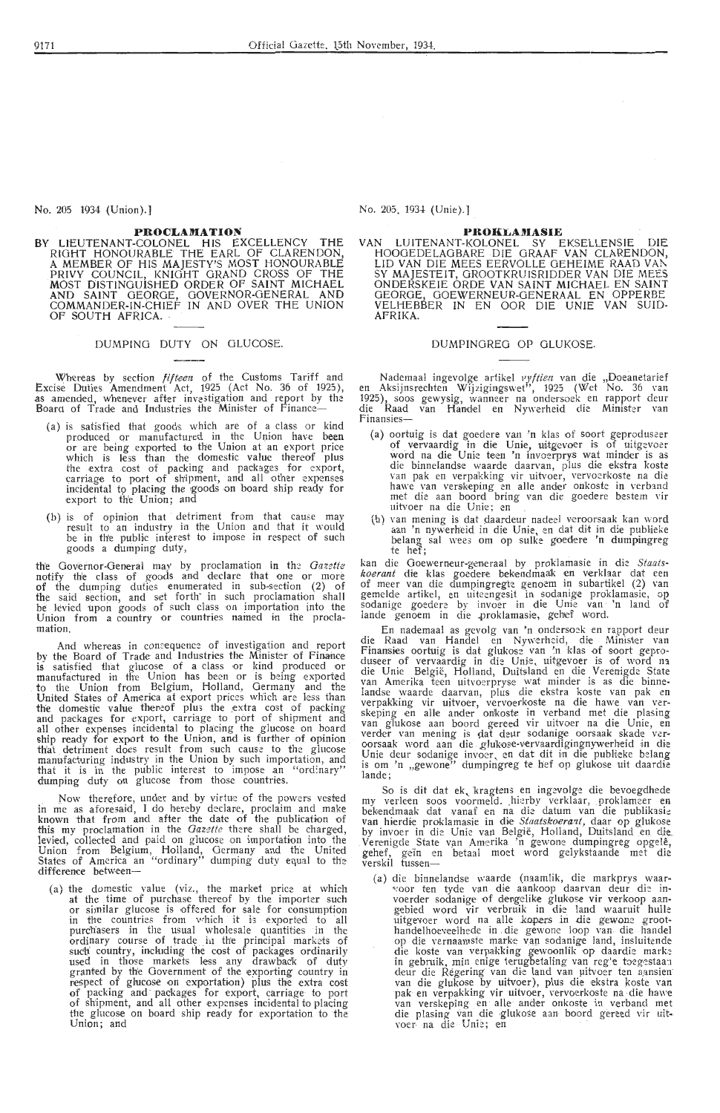No. 205 1934 (Union).]

### PROCLAMATION

BY LIEUTENANT-COLONEL HIS EXCELLENCY THE RIGHT HONOURABLE THE EARL OF CLARENDON, A MEMBER OF HIS MAJESTY'S MOST HONOURABLE PRIVY COUNCIL, KNIGHT GRAND CROSS OF THE MOST DISTINGUISHED ORDER OF SAINT MICHAEL AND SAINT GEORGE, GOVERNOR-GENERAL AND COMMANDER-IN-CHIEF IN AND OVER THE UNION OF SOUTH AFRICA.

DUMPING DUTY ON GLUCOSE.

Whereas by section *fifteen* of the Customs Tariff and Excise Duties Amendment Act, 1925 (Act No. 36 of 1925), as amended, whenever after investigation and report by the Board of Trade and Industries the Minister of Finance--

- (a) is satisfied that goods which are of a class or kind produced or manufactured in the Union have been<br>or are being exported to the Union at an export price which is less than the domestic value thereof plus which is less than the domestic value thereor plus<br>the extra cost of packing and packages for export,<br>carriage to port of shipment, and all other expenses<br>incidental to placing the goods on board ship ready for<br>export to t
- (b) is of opinion that detriment from that cause may result to an industry in the Union and that it would be in the public interest to impose in respect of such goods a dumping duty,

the Governor-General may by proclamation in the Gazette notify the class of goods and declare that one or more of the dumping duties enumerat-ed in sub-section (2) of the said section, and set forth in such proclamation shall<br>be levied upon goods of such class on importation into the<br>Union from a country or countries named in the proclamation.

And whereas in consequence of investigation and report by the Board of Trade and Industries the Minister of Finance<br>is satisfied that glucose of a class or kind produced or<br>manufactured in the Union has been or is being exported to the Union from Belgium, Holland, Germany and the United States of America at export prices which are less than the domestic value theneof plus the extra cost of packing and packages for export, carriage to port of shipment and all other expenses incidental to placing the glucose on board ship ready for export to the Union, and is further of opinion th'at . detriment does result from such cause to the glucose manufacturing industry in the Union by such importation, and that it is in the public interest to impose an "ord:nary" dumping duty on glucose from those countries.

Now therefore, under and by virtue of the powers vested in me as aforesaid, I do hereby declare, proclaim and make known that from and after the date of the publication of this my proclamation in the *Gazette* there shall be charged, levied, collected and paid on gluoose on importation into the Union from Belgium. Holland Germany and the the Union from Belgium, Holland, Germany and the United States of America an "ordinary" dumping duty equal to the difference between-

(a) the domestic value (viz., the market price at which at the time of purchase thereof by the importer such or similar glucose is offered for sale for consumption in the countries from which it is exported to all purchasers in the usual wholesale quantities in the ordinary course of trade in the principal markets of such country, including the cost of packages ordinarily used in those markets less any drawback of duty granted by the Government of the exporting country in respect of glucose on exportation) plus the extra cost of packing and packages for export, carriage to port of shipment, and all other expenses incidental to placing the glucose on board ship ready for exportation to the Union; and

No. 205 1934 (Unie).]

### **PROKLAMASIE**

VAN LUITENANT-KOLONEL SY EKSELLENSIE DIE HOOOEDELAGBARE DIE GRAAF VAN CLARENDON, LID VAN DIE MEES EERVOLLE GEHEIME RAAD VAN SY MAJESTEIT, GROOTKRUISRIDDER VAN DIE MEES ONDERSKEIE ORDE VAN SAINT MICHAEL EN SAINT GEORGE, GOEWERNEUR-GENERAAL EN OPPERBE VELHEBBER IN EN OOR DIE UNIE VAN SUID-AFRIKA.

### DUMPINOREG OP GLUKOSE.

Nademaal ingevolge artikel *vyftien* van die "Doeanetarief<br>en Aksijnsrechten Wijzigingswet", 1925 (Wet No. 36 van 1925), soos gewysig, wanneer na ondersoek en rapport deur<br>die Raad van Handel en Nywerheid die Minister van<br>Finansies-

- (a) oortuig is dat goedere van 'n klas of soort geproduseer<br>of vervaardig in die Unie, uitgevoer is of uitgevoer<br>word na die Unie teen 'n invoerprys wat minder is as<br>die binnelandse waarde daarvan, plus die ekstra koste hawe van verskeping en alle ander onkoste in verband met die aan boord bring van die goedere bestem \·ir uitvoer na die Unie; en<br>(b) van mening is dat daardeur nadeel veroorsaak kan word
- (b) van mening is dat daardeur nadeel veroorsaak kan word aan 'n nywerheid in die Unie, en dat dit in die publieke belang sal wees om op sulke goedere 'n dumpingreg te hef;

kan die Goewemeur-generaal by proklamasie in die *Staats*kan die Goewerneur-generaal by proklamasie in die Staats-<br>koerant die klas goedere bekendmaak en verklaar dat een<br>of meer van die dumpingregte genoem in subartikel (2) van<br>gemelde artikel, en uiteengesit in sodanige prokla gemeide artikel, en uiteengesit in sodanige proklamasie, op<br>sodanige goedere by invoer in die Unie van 'n land of<br>lande genoem in die proklamasie, gehef word.

En nademaal as gevolg van 'n ondersoek en rapport deur die Raad van Handel en Nywerheid, die Minister van Finansies oortuig is dat glukose van 'n klas of soort gepro-<br>duseer of vervaardig in die Unie, uitgevoer is of word na die Unie België, Holland, Duitsland en die Verenigde State<br>van Amerika teen uitvoerpryse wat minder is as die binne-<br>landse waarde daarvan, plus die ekstra koste van pak en<br>verpakking vir uitvoer, vervoerkoste na die hawe is om 'n "gewone" dumpingreg te hef op glukose uit daardie lande;

So is dit dat ek kragtens en ingevolge die bevoegdhede my verleen soos voormeld. hierby verklaar, proklameer en bekendmaak dat vanaf en na die datum van die publikasie van hierdie proklamasie in die *Staatskoerant*, daar op glukose by invoer in die Unie van België, Holland, Duitsland en die Verenigde State van Amerika 'n gewone dumpingreg opgelê, gehef, geïn en betaal moet word gelykstaande met die verskil tussen-

(a) die binnelandse waarde (naamlik, die markprys waar-<br>
•:oor ten tyde van die aankoop daarvan deur die in-<br>
•:oorder sodanige of dengelike glukose vir verkoop aan-<br>
gebied word vir verbruik in die land waaruit hulle uitgevoer word na alle kopers in die gewone groot-<br>handelhoeveelhede in die gewone loop van die handel op die vernaamste marke van sodanige land, insluitende die koste van verpakking gewoonlik op daardie marke in gebruik, min enige terugbetaling van reg'e toegestaan deur die Regering van die land van uitvoer ten aansien van die glukose by uitvoer), plus die ekstra koste van pak en verpakking vir uitvoer, vervoerkoste na die hawe van verskeping en alle ander onkoste in verband met die plasing van die glukose aan boord gereed vir uitvoer na die Unie; en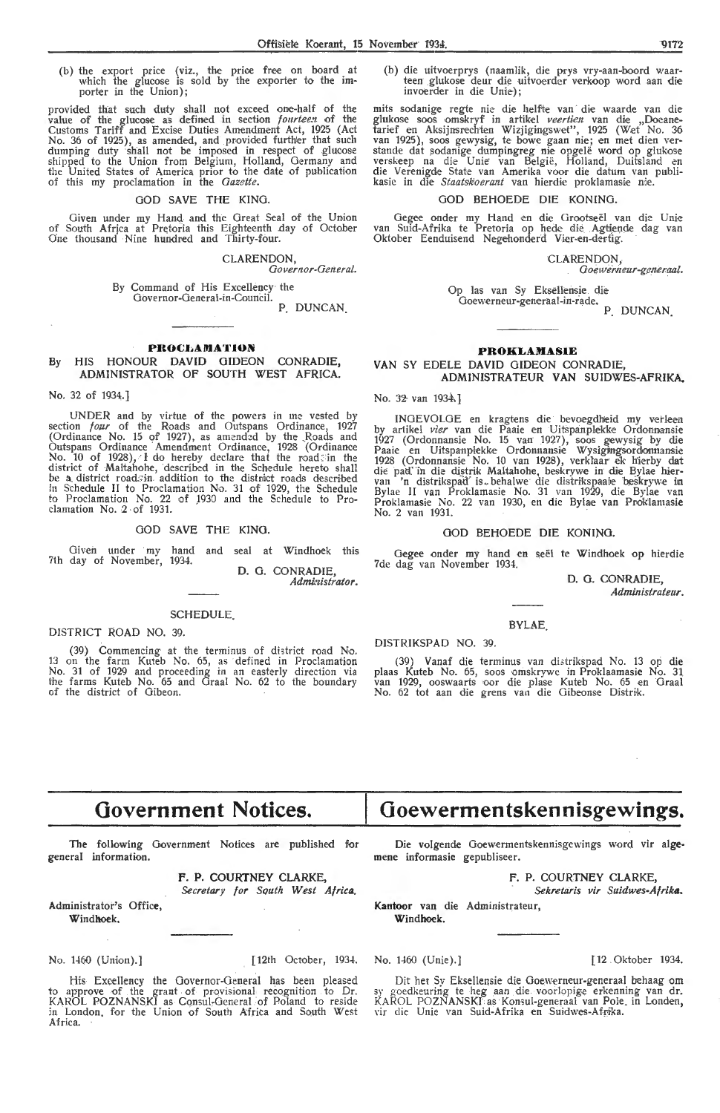(b) the export price (viz., the price free on board at which the glucose is sold by the exporter to the importer in the Union);

provided that such duty shall not exceed one-half of the<br>value of the glucose as defined in section *fourteen* of the<br>Customs Tariff and Excise Duties Amendment Act, 1925 (Act<br>No. 36 of 1925), as amended, and provided furt

### GOD SAVE THE KING.

Given under my Hand and the Great Seal of the Union<br>of South Africa at Pretoria this Eighteenth day of October<br>One thousand Nine hundred and Thirty-four.

CLARENDON,

Governor-General.

By Command of His Excellency the Governor-General-in-Council. P. DUNCAN.

### **PROCLAMATION**

### HIS HONOUR DAVID GIDEON CONRADIE,  $Bv$ ADMINISTRATOR OF SOUTH WEST AFRICA.

### No. 32 of 1934.]

UNDER and by virtue of the powers in me vested by<br>section  $f \circ u \circ u$  of the Roads and Outspans Ordinance, 1927<br>(Ordinance No. 15 of 1927), as amended by the Roads and<br>Outspans Ordinance Amendment Ordinance, 1928 (Ordinance

### GOD SAVE THE KING.

Given under my hand and seal at Windhoek this 7th day of November, 1934. D. G. CONRADIE,

Administrator.

### **SCHEDULE**

DISTRICT ROAD NO. 39.

(39) Commencing at the terminus of district road No.<br>13 on the farm Kuteb No.  $65$ , as defined in Proclamation<br>No. 31 of 1929 and proceeding in an easterly direction via<br>the farms Kuteb No.  $65$  and Graal No.  $62$  to the

(b) die uitvoerprys (naamlik, die prys vry-aan-boord waarteen glukose deur die uitvoerder verkoop word aan die

mits sodanige regte nie die helfte van die waarde van die glukose soos omskryf in artikel *veertien* van die "Docane-<br>tarief en Aksijnsrechten Wizjigingswet", 1925 (Wet No. 36<br>van 1925), soos gewysig, te bowe gaan nie; en

### GOD BEHOEDE DIE KONING

Gegee onder my Hand en die Grootseël van die Unie<br>van Suid-Afrika te Pretoria op hede die Agtiende dag van<br>Oktober Eenduisend Negehonderd Vier-en-dertig.

CLARENDON,

Goewerneur-generaal.

Op las van Sy Eksellensie die Goewerneur-generaal-in-rade.

P. DUNCAN.

### **PROKLAMASIE**

### VAN SY EDELE DAVID GIDEON CONRADIE. ADMINISTRATEUR VAN SUIDWES-AFRIKA.

No. 32 van 1934.]

INGEVOLGE en kragtens die bevoegdheid my verleen<br>by artikel *vier* van die Paaie en Uitspanplekke Ordonnansie<br>1927 (Ordonnansie No. 15 van 1927), soos gewysig by die<br>Paaie en Uitspanplekke Ordonnansie Wysigingsordonnansie<br> No. 2 van 1931.

### GOD BEHOEDE DIE KONING.

Gegee onder my hand en seël te Windhoek op hierdie 7de dag van November 1934.

> D. G. CONRADIE, Administrateur.

### **BYLAE**

DISTRIKSPAD NO. 39.

(39) Vanaf die terminus van distrikspad No. 13 op die plaas Kuteb No. 65, soos omskrywe in Proklaamasie No. 31 van 1929, ooswaarts oor die plase Kuteb No. 65 en Graal No. 62 tot aan die grens van die Gibeonse Distrik.

# **Government Notices.**

The following Government Notices are published for general information.

F. P. COURTNEY CLARKE,

Secretary for South West Africa. Administrator's Office,

Windhoek,

No. 1460 (Union).]

[12th October, 1934.

 $\cdot$ 

His Excellency the Governor-General has been pleased<br>to approve of the grant of provisional recognition to Dr.<br>KAROL POZNANSKI as Consul-General of Poland to reside<br>in London, for the Union of South Africa and South West Africa.

Die volgende Goewermentskennisgewings word vir algemene informasie gepubliseer.

Goewermentskennisgewings.

F. P. COURTNEY CLARKE,

Sekretaris vir Suidwes-Afrika.

Kantoor van die Administrateur, Windhoek.

No. 1460 (Unie).]

[12 Oktober 1934.

Dit het Sy Eksellensie die Goewerneur-generaal behaag om sy goedkeuring te heg aan die voorlopige erkenning van dr.<br>KAROL POZNANSKI as Konsul-generaal van Pole, in Londen, vir die Unie van Suid-Afrika en Suidwes-Afrika.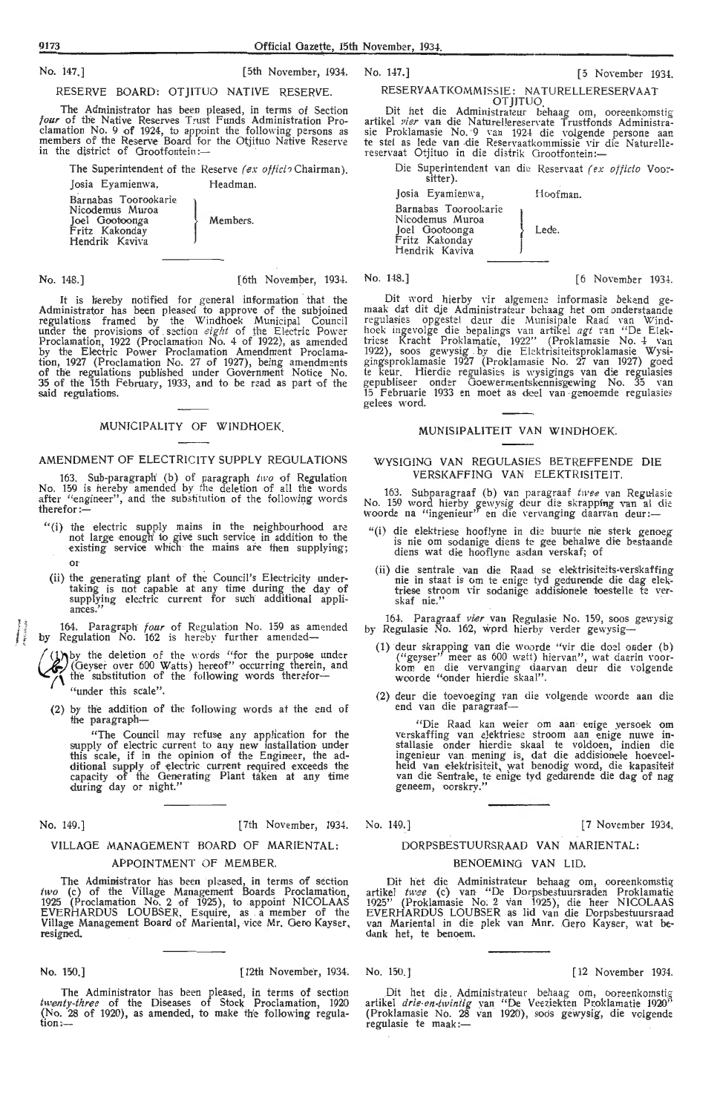9173 Official Gazette, 15th November, 1934.

No. 147.] [5 November 1934.

No. 147.] [5th November, 1934. RESERVE BOARD: OTJITUO NATIVE RESERVE.

The Administrator has been pleased, in terms of Section *four* of the Native Reserves Trust Funds Administration Pro-clamation No. 9 of 1924, to appoint the following persons as<br>members of the Reserve Board for the Otjituo Native Reserve in the district of Grootfontein:-

The Superintendent of the Reserve *(ex offici?* Chairman).

Josia Eyamienwa, Headman.

Barnabas Toorookarie Nicodemus Muroa Joel Gootoonga j Members. Fritz Kakonday Hendrik Kaviva

No. 148.] **[6 November, 1934.** No. 148.] **[6 November 1934. [6 November 1934.** 

It is hereby notified for general information that the<br>Administrator has been pleased to approve of the subjoined<br>regulations framed by the Windhoek Municipal Council under the provisions of section *eight* of the Electric Power<br>Proclamation, 1922 (Proclamation No. 4 of 1922), as amended by the Electric Power Proclamation Amendment Proclamation, 1927 (Proclamation No. 27 of 1927), being amendments of the regulations published under Government Notice No. 35 of the 15th February, 1933, and to be read as part of the said regulations.

### MUNICIPALITY OF WINDHOEK.

### AMENDMENT OF ELECTRICITY SUPPLY REGULATIONS

163. Sub-paragraph' (b) of paragraph *two* of Regulation No. 159 is her-eby amended by the deletion of all the words after "engineer", and the substitution of the following words therefor:-

- "(i) the electric supply mains in the neighbourhood are not large enough to give such service in addition to the existing service which the mains are then supplying; or
- (ii) the generating plant of the Council's Electricity undertaking is not capable at any time during the day of supplying electric current for such additional appli-<br>ances.''

164. Paragraph *four* of Regulation No. 159 as amended by Regulation No. 162 is hereby further amended-

*hy* the deletion of the words "for the purpose under Geyser over 600 Watts) hereof" occurring therein, and  $\Lambda$  the substitution of the following words therefor-"under this scale".

(2) by the addition of the following words at the end of the paragraph-

"The Council may refuse any application for the supply of electric current to any new installation under this scale, if in the opinion of the Engineer, the additional supply of electric current required exceeds the<br>capacity of the Generating Plant taken at any time during day or night.''

l<br>Linkara<br>T l<br>Maria II<br>Maria II

No. 149.] [7th November, 1934.

### VILLAGE MANAGEMENT BOARD OF MARIENTAL.:

### APPOINTMENT OF MEMBER.

The Administrator has been pleased, in terms of section *two* (c) of the Village Management Boards Proclamation, 1925 (Proclamation No. 2 of 1925), to appoint NICOLAAS EVERHARDUS LOUBSER, Esquire, as a member of the Village Management Board of Mariental, vice Mr. Gero Kayser, resigned.

No. 150.] [12th November, 1934.

The Administrator has been pleased, in terms of section twenty-three of the Diseases of Stock Proclamation, 1920 (No. 28 of 1920), as amended, to make the following regula- $\mathfrak{tion}$ :---

RESERVAATKOMMISSIE: NATURELLERESERVAAT

OTJITUO. . Dit \_het die \_Administrateur behaag om, ooreenkomstig artikel *vier* van die Naturellereservate Trustfonds Administrasie Proklamasie No. 9 van 1924 die volgende persone aan.<br>te stel as lede van die Reservaatkommissie vir die Naturelle-<br>reservaat Otjituo in die distrik Grootfontein:---

Die Superintendent van die Reservaat (ex officio Voorsitter).

Hoofman.

Lede.

Josia Eyamienwa, Barnabas Toorookarie<br>Nicodemus Muroa Joel Gootoonga Fritz Kakonday<br>Hendrik Kaviva I l

Dit word hierby vir algemene informasie bekend gemaak dat dit die Administrateur behaag het om onderstaande regulasies opgestel deur die Munisipale Raad van Windhoek ingevolge die bepalings van artikel agt van "De Elektriese Kracht Proklamatie, 1922'' (Proklamasie No. 4 van 1922), soos gewysig by die Elektrisiteitsproklamasie Wysigingsproklamasie 1927 (Proklamasie No. 27 van 1927) goed te keur. Hierdie regulasies is wysigings van die regulasies gepubliseer onder Goewermentskennisgewing No. 35 van 15 Februarie 1933 en moet as deel van genoemde regulasies gelees word.

### MUNISIPALITEIT VAN WINDHOEK.

### WYSIOING VAN REGULASIES BETREFFENDE DIE VERSKAFFING VAN ELEKTRISITEIT.

163. Subparagraaf (b) van paragraaf twee van Regulasie No. 159 word hierby gewysig deur die skrapping van al die woorde na "ingenieur" en die vervanging daarvan deur :-

- "(i) die elektriese hooflyne in die buurte nie sterk genoeg is nie om sodanige diens te gee behalwe die bestaande diens wat die hooflyne asdan verskaf; of
- (ii) die sentrale van die Raad se elektrisiteits-verskaffing nie in staat is om te enige tyd gedurende die dag elektriese stroom vir sodanige addisionele toestelle te ver-<br>skaf nie.''

164. Paragraaf *vier* van Regulasie No. 159, soos gewysig<br>by Regulasie No. 162, word hierby verder gewysig—

- (1) deur skrapping van die woorde "vir die doel onder (b) ("geyser" meer as 600 watt) hiervan", wat daarin voor-<br>kom en die vervanging daarvan deur die volgende woorde "onder hierdie skaal".
- (2) deur die toevoeging van die volgende woorde aan die end van die paragraaf-

"Die Raad kan weier om aan enige yersoek om verskaffing van e}ektriesc: stroom aan enige nuwe installasie onder hierdie skaal te voldoen, indien die ingenieur van mening is, dat die addisionele hoeveelheid van elektrisiteit, wat benodig word, die kapasiteit<br>van die Sentrale, te enige tyd gedurende die dag of nag geneem, oorskry."

No. 149.] [7 November 1934.

# DORPSBESTUURSRAAD VAN MARIENTAL:

### BENOEMING VAN LID.

Dit het die Administrateur behaag om, ooreenkomstig artikel twee (c) van "De Dorpsbestuursraden Proklamatie 1925" (Proklamasie No; 2 van 1925); die heer NICOLAAS EVERHARDUS LOUBSER as lid van die Dorpsbestuursraad<br>van Mariental in die plek van Mnr. Gero Kayser, wat bedank het, te benoem.

No. 150.] [12 November 1934.

Dit het die Administrateur behaag om, ooreenkomstig artikel *drie-en-twintig* van "De Veeziekten Proklamatie 1920" (Proklamasie No. 28 van 1920), soos gewysig, die volgende regulasie te maak :-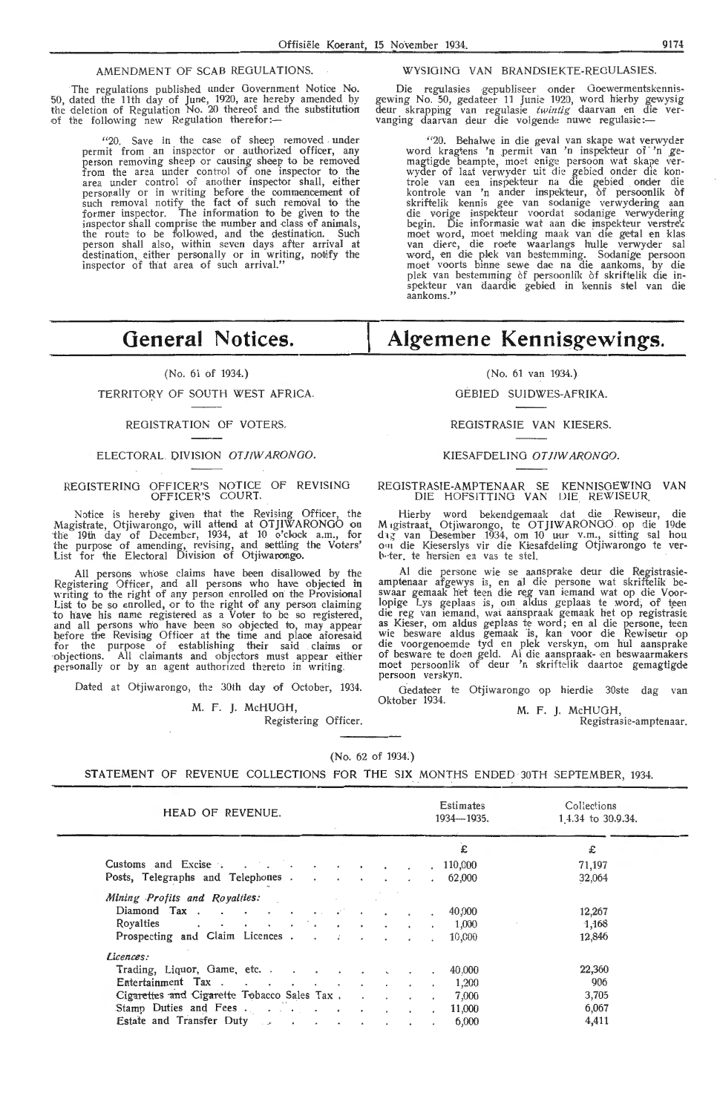### AMENDMENT OF SCAB REGULATIONS.

The regulations published under Government Notice No. 50, dated the 11th day of June, 1920, are hereby amended by the deletion of Regulation No. 20 thereof and the substitution of the following new Regulation therefor:-

"20. Save in the case of sheep removed under permit from an inspector or authorized officer, any person removing sheep or causing sheep to be removed from the area under control of one inspector to the area under control of another inspector shall, either personally or in writing before the commencement of such removal notify the fact of such removal to the former inspector. The information to be given to the inspector shall comprise the number and dass of animals, the route to be followed, and the destination. Such person shall also, within seven days after arrival at destination, either personally or in writing, notify the inspector of that area of such arrival."

# **General Notices.**

### (No. 61 of 1934.)

### TERRITORY OF SOUTH WEST AFRICA.

### REGISTRATION OF VOTERS.

### ELECTORAL DIVISION OTJIWARONGO

### REGISTERING OFFICER'S NOTICE OF REVISING OFFICER'S COURT.

Notice is hereby given that the Revising Officer, the Magistrate, Otjiwarongo, will attend at OTJIWARONGO on the 19th day of December, 1934, at 10 o'clock a.m., for the purpose of amending, revising, and settling the Voters' List for the Electoral Division of Otjiwarongo.

All persons whose claims have been disallowed by the Registering Officer, and all persons who have objected in writing to the right of any person enrolled on the Provisional List to be so enrolled, or to the right of any person claiming to have his name registered as a Voter to be so registered, and all persons who have been so objected to, may appear before the Revising Officer at the time and place aforesaid for the purpose of establishing their said claims or objections. All claimants and objectors must appear either personally or by an agent authorized thereto in writing.

Dated at Otjiwarongo, the 30th day of October, 1934.

M. F. *].* McHUGH,

Registering Officer.

### WYSIGING VAN BRANDSIEKTE-REGULASIES.

Die regulasies gepubliseer onder Goewermentskennisgewing No. 50, gedateer 11 Junie 1920, word hierby gewysig deur skrapping van regulasi,e *twintig* daarva,n en die ver- vanging daarvan deur die voigende nuWie regulasi,e :-

> "20. Behalwe in die geval van skape wat verwyder<br>word kragtens 'n permit van 'n inspekteur of 'n ge-<br>magtigde beampte, moet enige persoon wat skape ver-<br>wyder of laat verwyder uit die gebied onder die kon-<br>trole van een in kontrole van 'n ander inspekteur, of persoonlik of skriftelik kennis gee van sodanige verwydering aan<br>die vorige inspekteur voordat sodanige verwydering begin. Die informasie wat aan die inspekteur verstrek moet word, moet melding maak van die getal en klas<br>van diere, die roete waarlangs hulle verwyder sal word, en die plek van bestemming. Sodanige persoon moet voorts binne sewe dae na die aankoms, by die<br>plek van bestemming of persoonlik of skriftelik die in-<br>spekteur van daardie gebied in kennis stel van die aankoms."

# **Algemene Kennisgewings.**

### (No. 61 van 1934.)

GEBIED SUIDWES-AFRIKA.

### REGISTRASIE VAN KIESERS.

### KIESAFDELING OT JIW ARONOO.

### REGISTRASIE-AMPTENAAR SE KENNISGEWING VAN DIE HOFSITTING VAN DIE REWJSEUR

Hierby word bekendgemaak dat die Rewiseur, die Migistraat, Otjiwarongo, te OTJIWARONGO op die 19de dag van Desember 1934, om 10 uur v.m., sitting sal hou out die Kieserslys vir die Kiesafdeling Otjiwarongo te verbeter, te

Al die persone wie se aansprake deur die Registrasieamptenaar afgewys is, en al die persone wat skriftelik be-<br>swaar gemaak het teen die reg van iemand wat op die Voorlopige Lys geplaas is, om aldus geplaas te word, of teen die reg van iemand, wat aanspraak gemaak het op registrasie as Kieser, om aldus geplaas te word; en al die persone, teen wie besware aldus gemaak is, kan voor die Rewiseur op die voorgenoemde tyd en plek verskyn, om hul aansprake of besware te doen geld. Al die aanspraak- en beswaarmakers moet persoonlik of deur 'n skriftelik daartoe gemagtigde persoon verskyn.

Gedateer te Otjiwarongo op hierdie 30ste dag van Oktober 1934.

M. F. **J.** McHUOH,

Registrasie-amptenaar.

(No. 62 of 1934:)

STATEMENT OF REVENUE COLLECTIONS FOR THE SIX MONTHS ENDED 30TH SEPTEMBER, 1934.

| HEAD OF REVENUE.                 |  |  |  | Estimates<br>1934—1935. | Collections<br>14.34 to 30.9.34. |
|----------------------------------|--|--|--|-------------------------|----------------------------------|
|                                  |  |  |  | £                       | £                                |
| Customs and Excise               |  |  |  | . 110,000               | 71,197                           |
| Posts, Telegraphs and Telephones |  |  |  | 62,000                  | 32,064                           |
| Mining Profits and Royalties:    |  |  |  |                         |                                  |
| Diamond Tax                      |  |  |  | 40,000                  | 12,267                           |
| Royalties 1,000                  |  |  |  |                         | 1,168                            |
| Prospecting and Claim Licences   |  |  |  | 10,000                  | 12,846                           |
| Licences:                        |  |  |  |                         |                                  |
| Trading, Liquor, Game, etc.      |  |  |  | 40,000                  | 22,360                           |
| Entertainment Tax                |  |  |  | 1,200                   | 906                              |
|                                  |  |  |  | 7,000                   | 3,705                            |
| Stamp Duties and Fees.           |  |  |  | 11,000                  | 6,067                            |
| Estate and Transfer Duty         |  |  |  | 6,000                   | 4,411                            |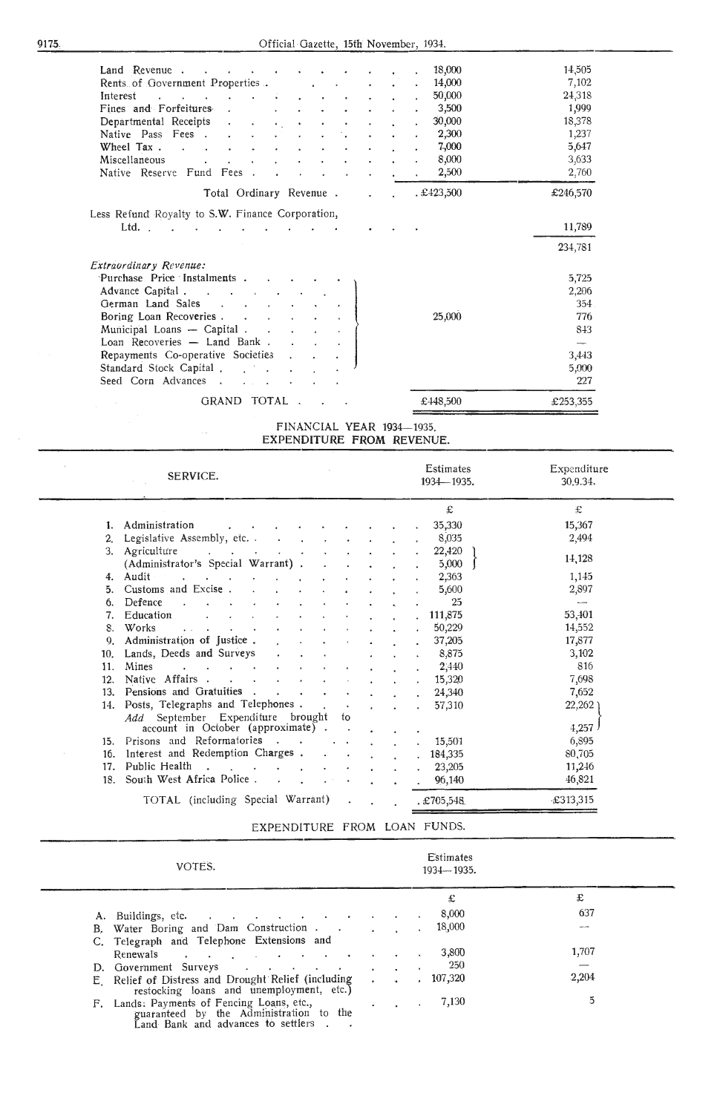| 18,000<br>Land Revenue.                                                                                          | 14,505   |
|------------------------------------------------------------------------------------------------------------------|----------|
| Rents of Government Properties.<br>14,000<br>and the state of                                                    | 7,102    |
| 50,000<br>Interest<br>and the state of the state of                                                              | 24,318   |
| 3,500<br>Fines and Forfeitures                                                                                   | 1,999    |
| 30,000<br>Departmental Receipts<br>$\mathcal{L}^{\text{max}}$<br>$\ddot{\phantom{1}}$<br>$\epsilon$<br>$\bullet$ | 18,378   |
| 2,300<br>Native Pass Fees.                                                                                       | 1,237    |
| 7,000<br>Wheel Tax.                                                                                              | 5,647    |
| 8,000<br>Miscellaneous                                                                                           | 3,633    |
| Native Reserve Fund Fees.<br>2,500                                                                               | 2,760    |
| . £423,500<br>Total Ordinary Revenue.                                                                            | £246,570 |
| Less Refund Royalty to S.W. Finance Corporation,<br>Ltd.                                                         | 11,789   |
|                                                                                                                  | 234,781  |
| Extraordinary Revenue:                                                                                           |          |
| Purchase Price Instalments.                                                                                      | 5,725    |
| Advance Capital                                                                                                  | 2,206    |
| German Land Sales<br>and the state of the state of the state of                                                  | 354.     |
| 25,000<br>Boring Loan Recoveries                                                                                 | 776      |
| Municipal Loans - Capital.<br>$\bullet$                                                                          | 843      |
| Loan Recoveries - Land Bank.                                                                                     |          |
| Repayments Co-operative Societies                                                                                | 3,443    |
| Standard Stock Capital.                                                                                          | 5,000    |
| Seed Corn Advances                                                                                               | 227      |
| GRAND TOTAL<br>£448,500                                                                                          | £253,355 |

FINANCIAL YEAR 1934-1935. EXPENDITURE FROM REVENUE.

 $\ddot{\phantom{a}}$ 

| SERVICE.                                                                                                             | Estimates<br>$1934 - 1935.$ | Expenditure<br>30.9.34. |
|----------------------------------------------------------------------------------------------------------------------|-----------------------------|-------------------------|
|                                                                                                                      | £                           | £                       |
| 1. Administration                                                                                                    | 35,330                      | 15,367                  |
| Legislative Assembly, etc. .<br>2 <sub>1</sub><br><b>Contract Contract</b>                                           | 8,035                       | 2,494                   |
| 3.<br>Agriculture<br><b>Contract Contract Contract</b><br><b>All Contracts</b><br>(Administrator's Special Warrant). | 22,420<br>5,000             | 14,128                  |
| Audit<br><b>Service Controllers</b><br>4.<br>$\mathbf{L} = \mathbf{L} \mathbf{L}$                                    | 2,363                       | 1,145                   |
| Customs and Excise.<br>5.                                                                                            | 5,600                       | 2,897                   |
| Defence<br>6.                                                                                                        | 25                          |                         |
| 7.<br>Education                                                                                                      | 111,875                     | 53,401                  |
| Works<br>8.                                                                                                          | 50,229                      | 14,552                  |
| Administration of Justice.<br>$\mathbf{Q}_1$                                                                         | 37,205                      | 17,877                  |
| Lands, Deeds and Surveys<br>10.                                                                                      | 8,875                       | 3,102                   |
| 11.<br>Mines<br>$\mathbf{r} = \mathbf{r} + \mathbf{r} + \mathbf{r}$ .                                                | 2,440                       | 816                     |
| Native Affairs.<br>12.<br>the contract of the contract of                                                            | 15,320                      | 7,698                   |
| Pensions and Gratuities.<br>13.                                                                                      | 24,340                      | 7,652                   |
| Posts, Telegraphs and Telephones.<br>14.                                                                             | 57,310                      | 22,262                  |
| Add September Expenditure brought<br>to<br>account in October (approximate).                                         |                             | 4,257                   |
| Prisons and Reformatories<br>15.                                                                                     | 15,501                      | 6,895                   |
| Interest and Redemption Charges.<br>16.                                                                              | 184,335                     | 80,705                  |
| Public Health<br>17.<br>$\sim$<br><b>Contract Contract Contract</b>                                                  | 23,205                      | 11,246                  |
| South West Africa Police.<br>18.<br>$\Delta$                                                                         | 96,140                      | 46,821                  |
| TOTAL (including Special Warrant)                                                                                    | . £705,548                  | $-2313,315$             |

EXPENDITURE FROM LOAN FUNDS.

| VOTES.                                                                                                                                      |  |           | Estimates<br>1934 -- 1935. |       |  |
|---------------------------------------------------------------------------------------------------------------------------------------------|--|-----------|----------------------------|-------|--|
|                                                                                                                                             |  |           | £                          | £     |  |
| A. Buildings, etc.                                                                                                                          |  |           | 8,000                      | 637   |  |
| B. Water Boring and Dam Construction                                                                                                        |  |           | 18,000                     | ---   |  |
| C. Telegraph and Telephone Extensions and                                                                                                   |  |           |                            |       |  |
| Renewals<br>the contract of the contract of the contract of the contract of the contract of                                                 |  |           | 3,800                      | 1,707 |  |
| D. Government Surveys                                                                                                                       |  |           | 250                        |       |  |
| E. Relief of Distress and Drought Relief (including<br>restocking loans and unemployment, etc.)                                             |  | $\bullet$ | 107,320                    | 2,204 |  |
| F. Lands: Payments of Fencing Loans, etc.,<br>guaranteed by the Administration to the<br>$\zeta$ and Bank and advances to settlers $\ldots$ |  |           | 7,130                      | 5     |  |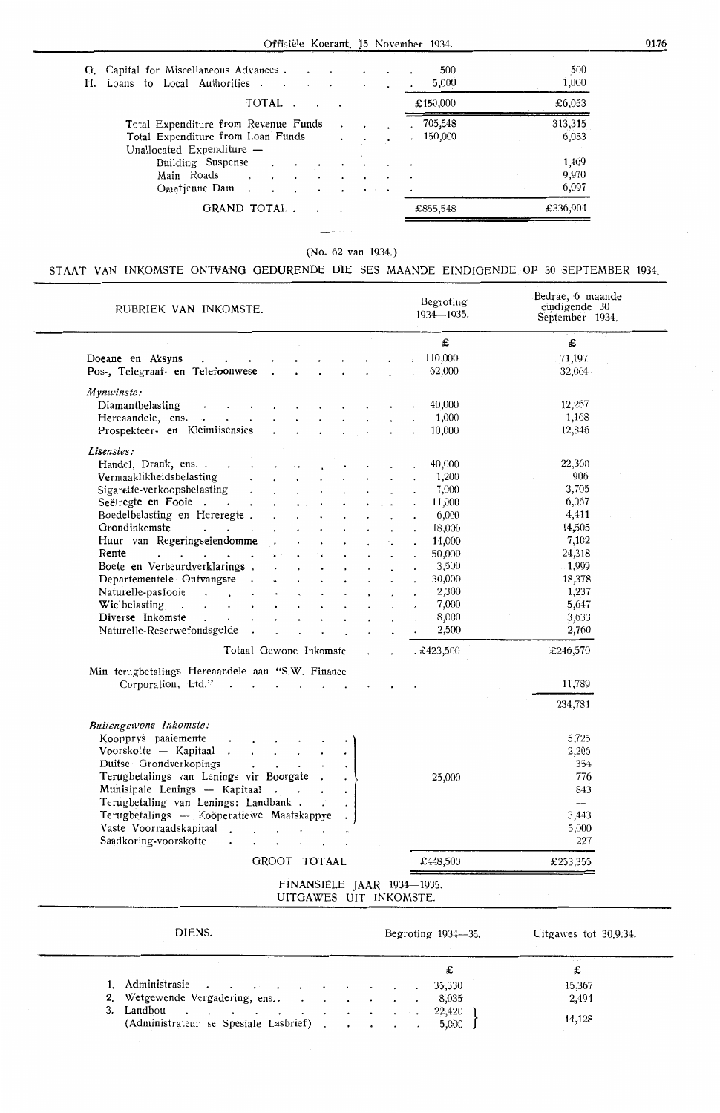| H. | G. Capital for Miscellaneous Advances<br>Loans to Local Authorities                                      | 500<br>500<br>1,000<br>5,000            |  |
|----|----------------------------------------------------------------------------------------------------------|-----------------------------------------|--|
|    | TOTAL.                                                                                                   | £6,053<br>£150,000                      |  |
|    | Total Expenditure from Revenue Funds<br>Total Expenditure from Loan Funds<br>Unallocated Expenditure $-$ | 313,315<br>705,548<br>.6,053<br>150,000 |  |
|    | Building Suspense<br>Main Roads<br>$\cdot$ $\cdot$<br>Omatienne Dam<br>$\sim$<br>$\cdots$                | 1,469<br>9,970<br>6,097                 |  |
|    | GRAND TOTAL                                                                                              | £336,904<br>£855,548                    |  |

(No. 62 van 1934.)

## STAAT VAN INKOMSTE ONTVANG GEDURENDE DIE SES MAANDE EINDIGENDE OP 30 SEPTEMBER 1934.

| RUBRIEK VAN INKOMSTE.                                                                                                                                                                                                                      |                                                                            |                        |                  |                      |              |                | Begroting<br>1934-1935.    | Bedrae, 6 maande<br>eindigende 30<br>September 1934. |
|--------------------------------------------------------------------------------------------------------------------------------------------------------------------------------------------------------------------------------------------|----------------------------------------------------------------------------|------------------------|------------------|----------------------|--------------|----------------|----------------------------|------------------------------------------------------|
|                                                                                                                                                                                                                                            |                                                                            |                        |                  |                      |              |                | £                          | £                                                    |
| Doeane en Aksyns                                                                                                                                                                                                                           | the contract of the contract of the                                        |                        |                  |                      |              |                | 110,000                    | 71,197                                               |
| Pos-, Telegraaf- en Telefoonwese.                                                                                                                                                                                                          |                                                                            | $\ddot{\phantom{0}}$   |                  | $\ddot{\phantom{0}}$ |              |                | 62,000                     | 32,064                                               |
| Mynwinste:                                                                                                                                                                                                                                 |                                                                            |                        |                  |                      |              |                |                            |                                                      |
| Diamantbelasting                                                                                                                                                                                                                           | $\cdot$ $\cdot$ $\cdot$ $\cdot$                                            |                        |                  |                      |              |                | 40,000                     | 12,267                                               |
| Hereaandele, ens.                                                                                                                                                                                                                          |                                                                            |                        |                  |                      |              |                | 1,000                      | 1,168                                                |
| Prospekteer- en Kleimlisensies                                                                                                                                                                                                             | $\ddot{\phantom{0}}$                                                       |                        |                  |                      |              |                | 10,000                     | 12,846                                               |
| Lisensies:                                                                                                                                                                                                                                 |                                                                            |                        |                  |                      |              |                |                            |                                                      |
| Handel, Drank, ens.                                                                                                                                                                                                                        |                                                                            |                        |                  |                      |              |                | 40,000                     | 22,360                                               |
| Vermaaklikheidsbelasting                                                                                                                                                                                                                   | $\mathbf{L}^{\text{max}}$                                                  |                        |                  |                      |              |                | 1,200                      | 906                                                  |
| Sigarette-verkoopsbelasting                                                                                                                                                                                                                |                                                                            |                        |                  |                      |              |                | 7,000                      | 3,705                                                |
| Seëlregte en Fooie                                                                                                                                                                                                                         | $\mathbf{a}$ .                                                             |                        |                  |                      |              |                | 11,000                     | 6,067                                                |
| Boedelbelasting en Hereregte.                                                                                                                                                                                                              |                                                                            |                        |                  |                      |              |                | 6,000                      | 4,411                                                |
| Grondinkomste                                                                                                                                                                                                                              |                                                                            |                        |                  |                      |              |                |                            |                                                      |
|                                                                                                                                                                                                                                            | and the contract of the con-                                               |                        |                  |                      |              |                | 18,000                     | 14,505                                               |
| Huur van Regeringseiendomme                                                                                                                                                                                                                |                                                                            |                        |                  |                      |              |                | 14,000                     | 7,102                                                |
| Rente<br>$\mathbf{r}$ . The set of the set of the set of the set of the set of the set of the set of the set of the set of the set of the set of the set of the set of the set of the set of the set of the set of the set of the set of t |                                                                            |                        |                  |                      |              |                | 50,000                     | 24,318                                               |
| Boete en Verbeurdverklarings.                                                                                                                                                                                                              |                                                                            |                        |                  |                      |              |                | 3,500                      | 1,999                                                |
| Departementele Ontvangste.                                                                                                                                                                                                                 |                                                                            |                        |                  |                      |              |                | 30,000                     | 18,378                                               |
| Naturelle-pasfooie                                                                                                                                                                                                                         | $\sim$                                                                     |                        |                  |                      |              |                | 2,300                      | 1,237                                                |
| Wielbelasting<br>$\mathbf{r}$ , $\mathbf{r}$ , $\mathbf{r}$ , $\mathbf{r}$ , $\mathbf{r}$                                                                                                                                                  |                                                                            |                        |                  |                      |              |                | 7,000                      | 5,647                                                |
| Diverse Inkomste                                                                                                                                                                                                                           | $\mathbf{r}$ and $\mathbf{r}$ and $\mathbf{r}$<br>$\mathbf{r}$             | $\sim$                 |                  |                      |              |                | 8,000                      | 3,633                                                |
| Naturelle-Reserwefondsgelde                                                                                                                                                                                                                |                                                                            |                        | $\sim$ 100 $\pm$ |                      |              |                | 2,500                      | 2,760                                                |
|                                                                                                                                                                                                                                            | Totaal Gewone Inkomste                                                     |                        |                  |                      | $\mathbf{r}$ | $\overline{a}$ | . £423,500                 | £246,570                                             |
| Min terugbetalings Hereaandele aan "S.W. Finance                                                                                                                                                                                           |                                                                            |                        |                  |                      |              |                |                            |                                                      |
| Corporation, Ltd."                                                                                                                                                                                                                         | the contract of the contract of                                            |                        |                  |                      |              |                |                            | 11,789                                               |
|                                                                                                                                                                                                                                            |                                                                            |                        |                  |                      |              |                |                            | 234,781                                              |
| Buitengewone Inkomste:                                                                                                                                                                                                                     |                                                                            |                        |                  |                      |              |                |                            |                                                      |
| Koopprys paaiemente                                                                                                                                                                                                                        |                                                                            |                        |                  |                      |              |                |                            | 5,725                                                |
| Voorskotte -- Kapitaal .                                                                                                                                                                                                                   | $\mathbf{r}$ , $\mathbf{r}$ , $\mathbf{r}$                                 |                        |                  |                      |              |                |                            | 2,206                                                |
| Duitse Grondverkopings                                                                                                                                                                                                                     | $\mathbf{r} = \left( \mathbf{r} \right) \left( \mathbf{r} \right)$ , where |                        |                  |                      |              |                |                            | 354                                                  |
| Terugbetalings van Lenings vir Boorgate.                                                                                                                                                                                                   |                                                                            |                        |                  |                      |              |                | 25,000                     | 776                                                  |
| Munisipale Lenings — Kapitaal                                                                                                                                                                                                              |                                                                            |                        |                  | $\ddot{\phantom{0}}$ |              |                |                            | 843                                                  |
| Terugbetaling van Lenings: Landbank.                                                                                                                                                                                                       |                                                                            |                        |                  |                      |              |                |                            |                                                      |
| Terugbetalings - Koöperatiewe Maatskappye                                                                                                                                                                                                  |                                                                            |                        |                  |                      |              |                |                            | 3,443                                                |
| Vaste Voorraadskapitaal                                                                                                                                                                                                                    |                                                                            |                        |                  |                      |              |                |                            | 5,000                                                |
| Saadkoring-voorskotte                                                                                                                                                                                                                      |                                                                            |                        |                  |                      |              |                |                            | 227                                                  |
|                                                                                                                                                                                                                                            | GROOT TOTAAL                                                               |                        |                  |                      |              |                | £448,500                   | £253,355                                             |
|                                                                                                                                                                                                                                            |                                                                            |                        |                  |                      |              |                | FINANSIËLE JAAR 1934-1935. |                                                      |
|                                                                                                                                                                                                                                            |                                                                            | UITGAWES UIT INKOMSTE. |                  |                      |              |                |                            |                                                      |
|                                                                                                                                                                                                                                            |                                                                            |                        |                  |                      |              |                |                            |                                                      |

| 1. Administrasie 35,330               |  |  |  |                 | 15,367 |
|---------------------------------------|--|--|--|-----------------|--------|
| 2. Wetgewende Vergadering, ens. 8,035 |  |  |  |                 | 2,494  |
| (Administrateur se Spesiale Lasbrief) |  |  |  | 22,420<br>5,000 | 14,128 |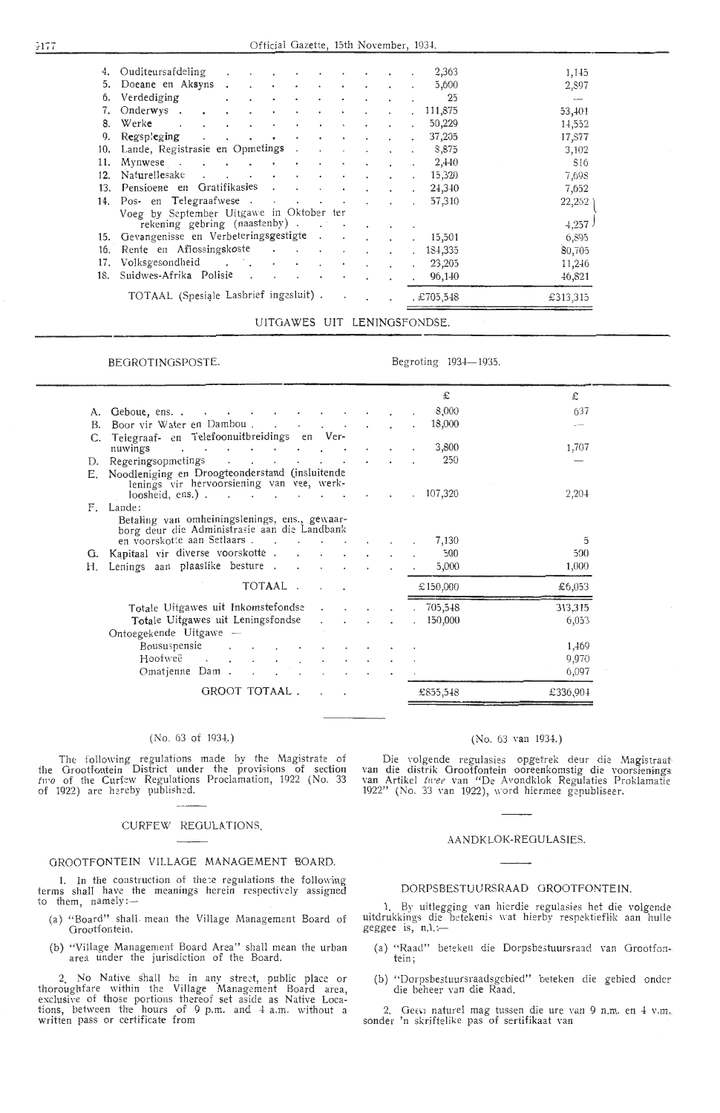|     | 4. Ouditeursafdeling .                   | $\sim$                                           | $\sim$ $\sim$ $\sim$ |                |                          |            |                      |                           |                      | 2,363    | 1,145                    |
|-----|------------------------------------------|--------------------------------------------------|----------------------|----------------|--------------------------|------------|----------------------|---------------------------|----------------------|----------|--------------------------|
| 5.  | Doeane en Aksyns.                        | $\cdot$                                          | $\sim 100$           | $\bullet$      | $\cdot$                  | $\bullet$  | $\bullet$            | $\ddot{\phantom{0}}$      | $\ddot{\phantom{0}}$ | 5,600    | 2,897                    |
| 6.  | Verdediging                              | $\bullet$<br>$\bullet$                           | ٠                    |                | ٠                        |            |                      |                           |                      | 25       | $\overline{\phantom{a}}$ |
|     | $Onderwys$ .<br>$\bullet$                | $\bullet$<br>٠                                   | $\sim$               | $\bullet$      | ٠                        | $\bullet$  |                      |                           | $\cdot$              | 111,875  | 53,401                   |
| 8.  | Werk <b>e</b> .<br>$\ddot{\phantom{0}}$  | $\bullet$<br>$\bullet$                           | $\bullet$            | $\blacksquare$ | $\bullet$                | $\bullet$  |                      |                           |                      | 50,229   | 14,552                   |
| 9.  | Regspleging<br>$\cdot$                   | $\ddot{\phantom{0}}$<br>$\bullet$                | $\sim$ $\sim$        | $\bullet$      | ۰                        | $\bullet$  |                      |                           |                      | 37,205   | 17,877                   |
|     | 10. Lande, Registrasie en Opmetings.     |                                                  |                      |                | $\cdot$                  |            |                      |                           |                      | S,875    | 3,102                    |
| 11. | Mynwese.                                 | $\mathcal{L}(\mathcal{A})$ . The contribution of |                      | $\sim$         | $\bullet$                | $\bullet$  | $\ddot{\phantom{0}}$ |                           |                      | 2,440    | 816                      |
| 12. | Naturellesake                            |                                                  |                      | $\cdot$        |                          |            |                      | $\sim$                    | $\ddot{\phantom{0}}$ | 15,320   | 7,698                    |
| 13. | Pensioene en Gratifikasies               |                                                  |                      |                | $\overline{\phantom{a}}$ | $\bullet$  |                      |                           | $\ddot{\phantom{0}}$ | 24,340   | 7,652                    |
| 14. | Pos- en Telegraafwese                    |                                                  |                      |                |                          |            |                      | $\mathbf{r} = \mathbf{r}$ | $\sim$               | 57,310   | 22,252                   |
|     | Voeg by September Uitgawe in Oktober ter |                                                  |                      |                |                          |            |                      |                           |                      |          |                          |
|     | rekening gebring (naastenby).            |                                                  |                      |                |                          |            |                      |                           |                      |          | 4,257                    |
|     | 15. Gevangenisse en Verbeteringsgestigte |                                                  |                      |                |                          |            |                      | $\cdot$ $\cdot$           | $\ddot{\phantom{0}}$ | 15,501   | 6,895                    |
| 16. | Rente en Aflossingskoste                 |                                                  |                      |                |                          | $\epsilon$ | $\ddot{\phantom{0}}$ | $\overline{\phantom{a}}$  | $\mathbf{r}$         | 184,335  | 80,705                   |
| 17. | Volksgesondheid                          |                                                  |                      |                |                          | $\bullet$  | $\ddot{\phantom{a}}$ |                           |                      | 23,205   | 11,246                   |
| 18. | Suidwes-Afrika Polisie                   |                                                  |                      | $\sim$         | $\overline{\phantom{a}}$ | $\sim$     | $\overline{a}$       |                           | $\sim$               | 96,140   | 46,821                   |
|     |                                          |                                                  |                      |                |                          |            |                      |                           |                      |          |                          |
|     | TOTAAL (Spesiale Lasbrief ingesluit).    |                                                  |                      |                |                          | $\sim$     | $\ddot{\phantom{0}}$ | $\sim$ $\sim$             |                      | £705,548 | £313,315                 |

UITGAWES UIT LENJNGSFONDSE.

### BEGROTINGSPOSTE.

Begroting 1934-1935

|    |                                                                                                |  | £                    | £       |
|----|------------------------------------------------------------------------------------------------|--|----------------------|---------|
| А. | Geboue, ens                                                                                    |  | 8,000                | 637     |
| В. | Boor vir Water en Dambou.                                                                      |  | 18,000               |         |
|    | Telegraaf- en Telefoonuitbreidings en Ver-                                                     |  |                      |         |
|    | nuwings<br>and the contract of the contract of the                                             |  | 3,800                | 1,707   |
|    | D. Regeringsopmetings                                                                          |  | 250                  |         |
|    | E. Noodleniging en Droogteonderstand (insluitende<br>lenings vir hervoorsiening van vee, werk- |  |                      |         |
|    | loosheid, ens.). $\cdot$                                                                       |  | $\therefore$ 107,320 | 2,204   |
| F. | Lande:                                                                                         |  |                      |         |
|    | Betaling van omheiningslenings, ens., gewaar-<br>borg deur die Administrasie aan die Landbank  |  |                      |         |
|    | en voorskotte aan Setlaars<br>$\sim$ $\sim$                                                    |  | 7.130                | 5       |
| G. | Kapitaal vir diverse voorskotte                                                                |  | 500                  | 500     |
| Н. | Lenings aan plaaslike besture                                                                  |  | 5,000                | 1,000   |
|    | TOTAAL                                                                                         |  | £150,000             | £6,053  |
|    | Totale Uitgawes uit Inkomstefondse                                                             |  | 705,548              | 313,315 |
|    | Totale Uitgawes uit Leningsfondse<br>$\cdot$                                                   |  | 150,000              | 6,053   |
|    | Ontoegekende Uitgawe —                                                                         |  |                      |         |
|    | Boususpensie                                                                                   |  |                      | 1,469   |
|    | Hoofweë                                                                                        |  |                      | 9,970   |
|    | Omatienne Dam                                                                                  |  |                      | 6,097   |
|    |                                                                                                |  |                      |         |

### (No. 63 of 1934.)

The following regulations made by the Magistrate of the Grootfontein District under the provisions of section *tn,o* of the Curfew Regulations Proclamation, 1922 (No. 33 of 1922) are hereby published

### CURFEW REGULATIONS

### OROOTFONTEIN ViLLAOE MANAGEMENT BOARD.

1. In the construction of these regulations the following terms shall have the meanings herein respectively assigned to them, namely:-

- (a) "Board" shall mean the Village Management Board of Orootfontein.
- (b) "Village Management Board Area" shall mean the urban area under the jurisdiction of the Board

2. No Native shall be in any street, public place or thoroughfare within the Village Management Board area, exclusive of those portions thereof set aside as Native Locations, between the hours of 9 p.m. and  $4$  a.m. without a written pass or certificate from

### (No. 63 van 1934.)

Die volgende regulasies opgetrek deur die Magistraatvan die distrik Grootfontein ooreenkomstig die voorsienings van Artikel *twee* van "De Avondklok Regulaties Proklamatie 1922" (No. 33 van 1922), word hiermee gepubliseer.

### AANDKI OK-REGULASIES

### DORPSBESTUURSRAAD OROOTFONTEIN.

1. By uitlegging van hierdie regulasies het die volgendeuitdrukkings die betekenis wat hierby respektieflik aan hulle-geggee is, n.l. :-

- (a) "Raad" beteken die Dorpsbestuursraad van Grootfon-
- (b) "Dorpsbe3tuursraadsgebied" beteken die gebied onder die beheer van die Raad.

2. Geen naturel mag tussen die ure van 9 n.m. en 4 v.m.<br>sonder 'n skriftelike pas of sertifikaat van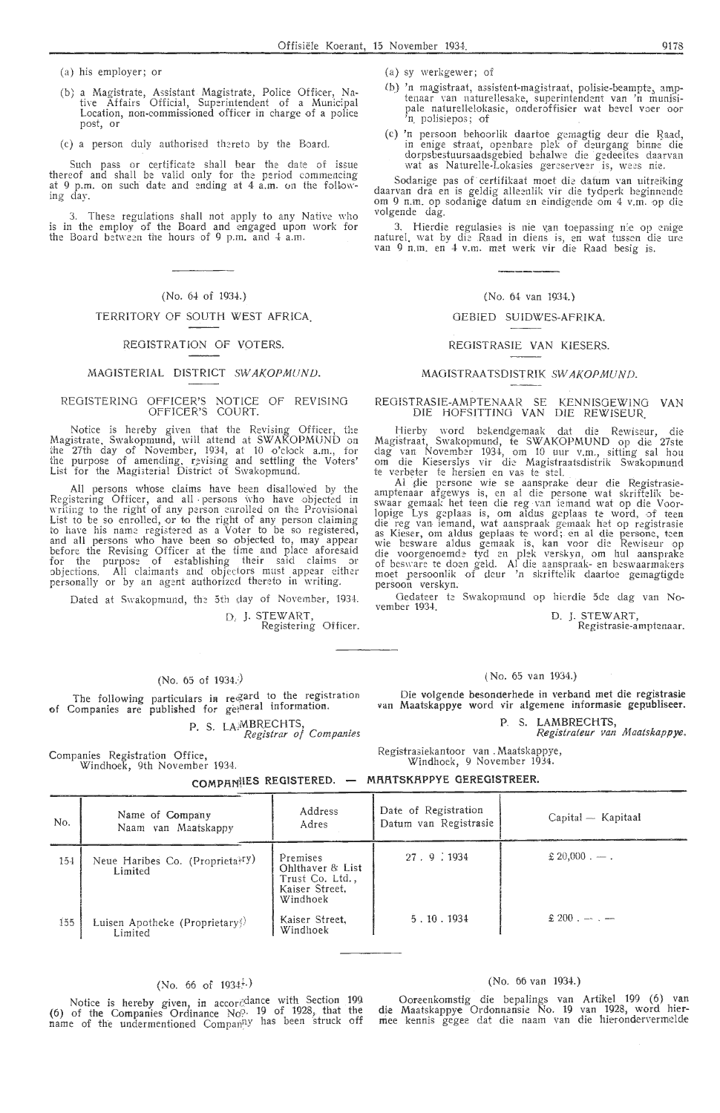(a) his employer; or

- (b) a Magistrate, Assistant Magistrate, Police Officer, Native Affairs Official, Superintendent of a Municipal Location, non-commissioned officer in charge of a police post, or
- (c) a person duly authorised thereto by the Board.

Such pass or certificate shall bear the date of issue thereof and shall be valid only for the period commencing at 9 p.m. on such date and ending at 4 a.m. on the following day.

3. These regulations shall not apply to any Native who is in the employ of the Board and engaged upon work for the Board between the hours of 9 p.m. and 4 a.m.

### (No. 64 of 1934.)

### TERRITORY OF SOUTH WEST AFRICA.

### REGISTRATION OF VOTERS.

### MAGISTERIAL DISTRICT SWAKOPMUND.

### REGISTERING OFFICER'S NOTICE OF REVISING OFFICER'S COURT.

Notice is hereby given that the Revising Officer, the Magistrate. Swakopmund, will attend at SWAKOPMUND on<br>the 27th day of November, 1934, at 10 o'clock a.m., for the purpose of amending, revising and settling the Voters' List for the Magisterial District of Swakopmund.

All persons whose claims have been disaHO\\;ed by the Registering Officer, and all persons who have objected in writing to the right of any person enrolled on the Provisional List to be so enrolled, or to the right of any person claiming to have his name registered as a  $\bar{V}$ oter to be so registered, and all persons who have been so objected to, may appear before the Revising Officer at the time and place aforesaid for the purpose of establishing their said claims or abjections. All claimants and objectors must appear either personally or by an agent authorized thereto in writing.

Dated at Swakopmund, the 5th day of November, 1934.

D, J. STEWART,<br>Registering Officer.

### (No. 65 of 1934.)

The following particulars in regard to the registration of Companies are published for gemeral information.

P. S. LA<sup>MBRECHTS</sup>, *Registrar of Companies* 

Companies Registration Office,<br>Windhoek, 9th November 1934.

(a) sy werkgewer; of

- (b) 'n magistraat, assistent-magistraat, polisie-beampte, amptenaar van naturellesake, superintendent van 'n munisipale naturellelokasie, onderoffisier wat bevel voer oor<br>'n polisiepos; of
- (c) 'n persoon behoorlik daartoe gemagtig deur die Baad, in enige straat, openbare plek of deurgang binne die dorpsbestuursaadsgebied behalwe die · gedeeltes daarvan wat as Naturelle-Lokasies gereserveer is, wees nie.

Sodanige pas of certifikaat moet die datum van uitreiking daarvan dra en is geldig alleenlik vir die tydperk beginnende om 9 n.m. op sodanige datum en eindigende om 4 v.m. op die volgende dag.

3. Hierdie regulasies is nie van toepassing nie op emige naturel, wat by die Raad in diens is, en wat tussen die ure van 9 n.m. en 4- v.m. met we rk vir die Raad besig is.

### (No. 64 van 1934.)

### GEB!ED SUIDWES-AFRIKA.

### REGISTRASIE VAN KlESERS.

### MAGISTRAATSDISTRIK SWAKOPMUND.

### REGISTRASIE-AMPTENAAR SE KENNISGEWING VAN DIE HOFSITTING VAN DIE REWJSEUR

Hierby word bekendgemaak dat die Rewiseur, die Magistraat, Swakopmund, te SWAKOPMUND op die 27ste dag van November 1934, om 10 uur v.m., sitting sal hou om die Kieserslys vir die Magistraatsdistrik Swakopmund<br>te verbeter te hersien en vas te stel.

Al die persone wie se aansprake deur die Registrasieamptenaar afgewys is, en al die persone wat skriftelik beswaar gemaak het teen die reg van iemand wat op die Voor-<br>lopige Lys geplaas is, om aldus geplaas te word, of teen die reg van iemand, wat aanspraak gemaak het op registrasie<br>as Kieser, om aldus geplaas te word; en al die persone, teen wie besware aldus gemaak is, kan voor die Rewiseur op die voorgen-oemde tyd en plek verskyn, om hul aansprake of besware te doen geld. Al die aanspraak- en beswaarmakers moet persoonlik of deur 'n skriftelik daartoe gemagtigde persoon verskyn:

Gedateer te Swakopmund op hierdie 5de dag van No- vember 1934.

D. J. STEW ART,

# Registrasie-amptenaar.

### ( No. 65 van 1934.)

Die volgende besonderhede in verband met die registrasie van Maatskappye word vir algemene informasie gepubliseer.

P **S. LAMBRECHTS,** 

*Registrateur van Maatskappye.* 

Registrasiekantoor van , Maatskappye, Windhoek, 9 November 1934.

### **COMPANtlES REGISTERED. MRRTSKRPPYE GEREGISTREER.**

| No. | Name of Company<br>Naam van Maatskappy                 | Address<br>Adres                                                              | Date of Registration<br>Datum van Registrasie | Capital — Kapitaal |
|-----|--------------------------------------------------------|-------------------------------------------------------------------------------|-----------------------------------------------|--------------------|
| 154 | Neue Haribes Co. (Proprietal <sup>Ty)</sup><br>Limited | Premises<br>Ohlthaver & List<br>Trust Co. Ltd.,<br>Kaiser Street.<br>Windhoek | 27.9.1934                                     | $$20,000,-$ .      |
| 155 | Luisen Apotheke (Proprietary)<br>Limited               | Kaiser Street.<br>Windhoek                                                    | 5.10.1934                                     | $$200 - -$         |

# (No. 66 of  $1934\cdot$ .)

Notice is hereby given, in accordance with Section 199 (6) of the Companies Ordinance No. 19 of 1928, that the name of the undermentioned Compan<sup>ny</sup> has been struck off

### (No. 66 van 1934.)

Ooreenkomstig die bepalings van Artikel 199 (6) van die Maatskappye Ordonnansie No. 19 van 1928, word hiermee kennis gegee dat die naam van die hierondervermelde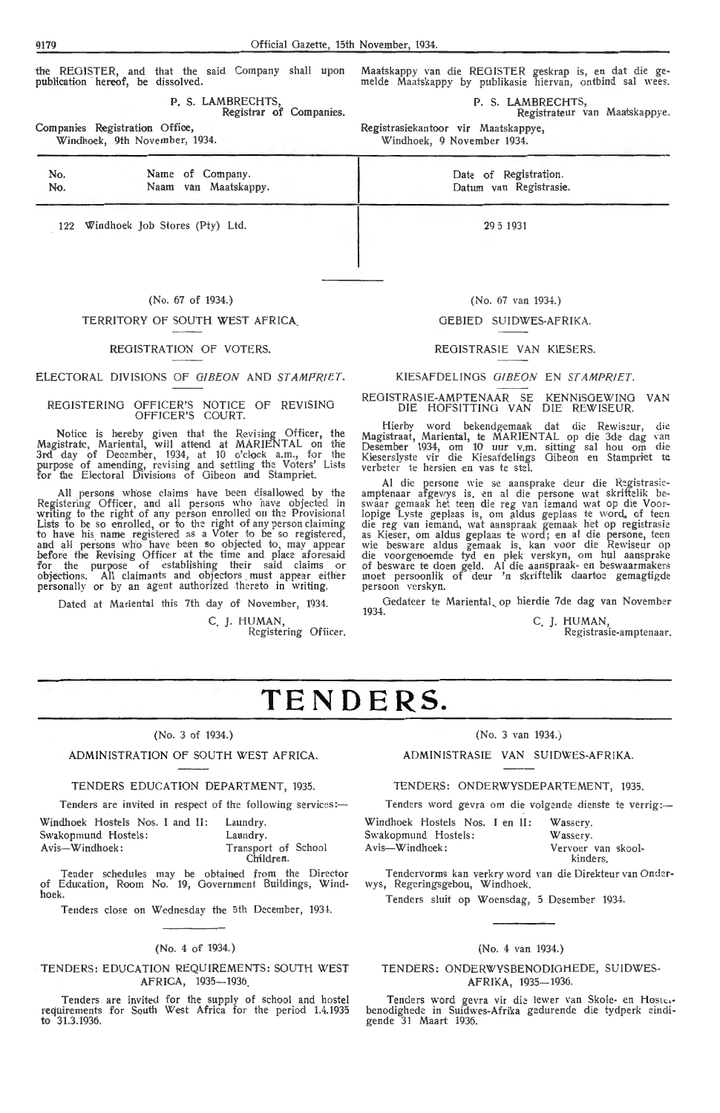the REGISTER, and that the said Company shall upon publication hereof, be dissolved.

> Name of Company. Naam van Maatskappy.

P. S. LAMBRECHTS Registrar of Companies.

Companies Registration Office, Windhoek, 9th November, 1934. Maatskappy van die REGISTER geskrap is, en dat die ge-<br>melde Maatskappy by publikasie hiervan, ontbind sal wees.

P. S. LAMBRECHTS,

Registrateur van Maatskappye. Registrasiekantoor vir Maatskappye,

Windhoek, 9 November 1934.

Date of Registration. Datum van Registrasie.

 $299 = 1031$ 

122 Windhoek Job Stores (Pty) Ltd.

### (No. 67 of 1934.)

### TERRITORY OF SOUTH WEST AFRICA.

### REGISTRATION OF VOTERS.

ELECTORAL DIVISIONS OF GIBEON AND STAMPRIET.

### REGISTERING OFFICER'S NOTICE OF REVISING OFFICER'S COURT.

Notice is hereby given that the Revising Officer, the Magistrate, Mariental, will attend at MARIENTAL on the 3rd day of Deoember, 1934, at 10 o'clock a.m., for the purpose of amending, revi,ing and settling the Voters' Lists for the Electoral Divisions of Gibeon and Stampriet.

All persons whose claims have been disallowed by the Registering Officer, and all persons who have objected in writing to the right of any person enrolled on the Provisional Lists to be so enrolled, or to the right of any person claiming to have his name registered as a Voter to be so registered, and all persons who have been so objected to, may appear before the Revising Officer at the time and place aforesaid for the purpose of establishing their said claims or objections. All claimants and objectors . must appear either personally or by an agent authorized thereto in writing

Dated at Mariental this 7th day of November, 1934. C. J. HUMAN,<br>Registering Officer.

(No. 67 van 1934.)

### GEBIED SUIDWES-AFRIKA.

### REGISTRASIE VAN KIESERS.

### KIESAFDELINOS O!BEON EN STAMPRJET.

# REGISTRASIE-AMPTENAAR SE KENNISOEWING VAN DIE HOFSITTING VAN DIE REWISEUR.

Hierby word bekendgemaak dat die Rewiszur, die Magistraat, Mariental, te MARIENTAL op die 3de dag van Desember 1934, om 10 uur v.m. sitting sal hou om die Kieserslyste vir die Kiesafdelings Gibeon en Stampriet te verbeter te hersien en vas te stel.

AI die persone wie se aansprake deur die Registrasie- amptenaar afgewys is. en al die persone wat skriftelik be-<br>swaar gemaak het teen die reg van iemand wat op die Voorlopige Lyste geplaas is, om aldus geplaas te word, of teen die reg van iemand, wat aanspraak gemaak het op registrasie as Kieser, om aldus geplaas te word; en al die persone, teen<br>wie besware aldus gemaak is, kan voor die Rewiseur op die voorgenoemde tyd en plek verskyn, om hul aansprake of besware te doen geld. Al die aanspraak- en beswaarmakers moet persoonlik of deur 'n skriftelik daartoe gemagtigde persoon verskyn.

Gedateer te Mariental, op hierdie 7de dag van November<br>1934. C. I. HUMAN

C. J. HUMAN, Registrasie-amptenaar.

# **TENDERS.**

### (No. 3 of 1934.)

### ADMINISTRATION OF SOUTH WEST AFRICA.

### TENDERS EDUCATION DEPARTMENT, 1935.

Tenders are invited in respect of the following services:-

Windhoek Hostels Nos. I and II: Laundry<br>Swakopmund Hostels: Laundry Swakopmund Hostels:<br>Avis--Windhoek: Avis-Windhoek: Transport of School Children.

Tender schedules may be obtained from the Director of Education, Room No. 19, Government Buildings, Windhoek.

Tenders close on Wednesday the 5th December, 1934.

### (No. 4 of 1934.)

### TENDERS: EDUCATION REQUIREMENTS: SOUTH WEST AFRICA, 1935-1936

Tenders are invited for the supply of school and hostel requirements for South West Africa for the period 1.4.1935 to 31.3.1936.

### (No. 3 van 1934.)

ADMINISTRASIE VAN SUIDWES-AFRIKA.

TENDERS: ONDERWYSDEPARTEMENT, 1935.

Tenders word gevra om die volgende dienste te verrig:-

Windhoek Hostels Nos. I en II: Wassery<br>Swakopmund Hostels: Wassery Swakopmund Hostels:<br>Avis—Windhoek:

Vervoer van skool kinders.

Tendervorms kan verkry word \·an die Direkteur van Onderwys, Regeringsgebou, Windhoek.

Tenders sluit op Woensdag, 5 Desember 1934.

### (No. 4 van 1934.)

TENDERS : ONDERWYSBENODIOHEDE, SUIDWES-AFRIKA, 1935-1936

Tenders word gevra vir die lewer van Skole- en Hoster benodighede in Suidwes-Afrika gedurende die tydperk eindi• gende 31 Maart 1936

No. No.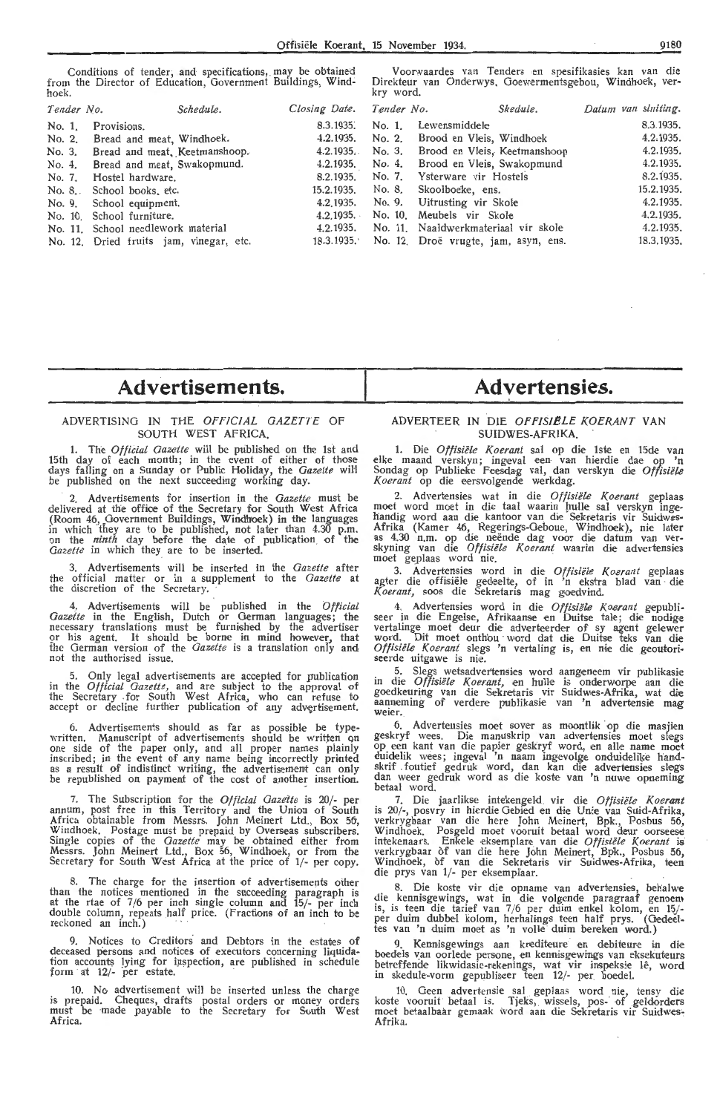Conditions of tender; and specifications, may be obtained from the Director of Education, Government Buildings, Windhoek.

Voorwaardes van Tenders en spesifikasies kan van die Direkteur van Onderwys. Goewermentsgebou, Windhoek, verkry word.

| Tender No. | Schedule.                               | Closing Date. Tender No. | Skedule.                                        | Datum van sluiting. |
|------------|-----------------------------------------|--------------------------|-------------------------------------------------|---------------------|
|            | No. 1. Provisions.                      | 8.3.1935.                | No. 1. Lewensmiddele                            | 8.3.1935.           |
|            | No. 2. Bread and meat, Windhoek.        |                          | 4.2.1935. No. 2. Brood en Vleis, Windhoek       | 4.2.1935.           |
|            | No. 3. Bread and meat, Keetmanshoop.    |                          | 4.2.1935. No. 3. Brood en Vleis, Keetmanshoop   | 4.2.1935.           |
|            | No. 4. Bread and meat, Swakopmund.      |                          | 4.2.1935. No. 4. Brood en Vleis, Swakopmund     | 4.2.1935.           |
|            | No. 7. Hostel hardware.                 |                          | 8.2.1935. No. 7. Ysterware vir Hostels          | 8.2.1935.           |
|            | No. 8. School books, etc.               |                          | 15.2.1935. No. 8. Skoolboeke, ens.              | 15.2.1935.          |
|            | No. 9. School equipment.                |                          | 4.2,1935. No. 9. Uitrusting vir Skole           | 4.2.1935.           |
|            | No. 10. School furniture.               |                          | 4.2.1935. No. 10. Meubels vir Skole             | 4.2.1935.           |
|            | No. 11. School needlework material      |                          | 4.2.1935. No. 11. Naaldwerkmateriaal vir skole  | 4.2.1935.           |
|            | No. 12. Dried fruits jam, vinegar, etc. |                          | 18.3.1935. No. 12. Droë vrugte, jam, asyn, ens. | 18.3.1935.          |

# **Advertisements.**

### ADVERTISING IN THE *OFFICIAL GAZETTE* OF SOUTH WEST AFRICA.

1. The *Official Gazette* will be published on the 1st and 15th day of each month; in the event of either of those days falling on a Sunday or Public Holiday, the *Gazette* will be published on the next succeeding working day.

2. Advertisements for insertion in the *Gazette* must be delivered at the office of the Secretary for South West Africa (Room 46, Government Buildings, Windhoek) in the languages in which they are to be published, not later than 4.30 p.m. on the *ninth* day before the date of publication. of the Gazette in which they are to be inserted.

3. Advertisements will be inserted in the *Gazette* after the official matter or in a supplement to the *Gazette* at the discretion of the Secretary.

4, Advertisements will be published in the *Official Gazeite* in the English, Dutch or German languages; the necessary translations must be furnished by the advertiser 9r his agent. It should be borne in mind however, that the German version of the *Gazette* is a translation only and not the authorised issue.

5. Only legal advertisements are accepted for publication in the *Official Gazette,* and are subject to the approval of the Secretary for South West Africa, who can refuse to accept or decline further publication of any advertisement.

6. Advertisements should as far as possible be typewritten. Manuscript of advertisements should be written on<br>one side of the paper only, and all proper names plainly inscribed; in the event of any name being incorrectly printed<br>as a result of indistinct writing, the advertisement can only be republished on payment of the cost of another insertion.

7. The Subscription for the *Official Gazette* is 20/- per annum, post free in this Territory and the Union of South Africa obtainable from Messrs. John Meinert Ltd., Box 56, Africa. obtainable from Messrs. John Meinert Ltd., Box 56·, Windhoek. Postage must be prepaid by Overseas .subscribers. Single copies of the *Gazette* may be obtained either from Messrs. John Meinert Ltd., Box 56, Windhoek, or from the Secretary for South West Africa at the price of 1/- per copy.

8. The charge for the insertion of advertisements other than the notices mentioned in the succeeding paragraph is at the rtae of 7/6 per inch single column and 15/- per inch double column, repeats half price. (Fractions of an inch to be reckoned an inch.)

9. Notices to Creditors and Debtors in the estates of deceased persons and notices of executors concerning liquidation accounts lying for inspection, are published in schedule form at 12/- per estate.

10. No advertisement will be inserted unless the charge is prepaid. Cheques, drafts postal orders or money orders must be ·made payable to the Secretary for South West Africa.

# **Advertensies.**

### ADVERTEER IN DIE OFFISIELE KOERANT VAN SUIDWES-AFRIKA.

1. Die *Offisiële Koerant* sal op die 1ste en 15de van elke maand verskyn; ingeval een van hierdie dae op 'n Sondag op Publieke Feesdag val, dan verskyn die Offisiële *Koerant* op die eersvolgende werkdag.

2. Advertensies wat in die Offisiële Koerant geplaas moet word moet in die taal waarin hulle sal verskyn inge-<br>handig word aan die kantoor van die Sekretaris vir Suidwes-Afrika (Kamer 46, Regerings-Geboue, Windhoek), nie later<br>as 4.30 n.m. op die neënde dag voor die datum van ver-<br>skyning van die *Offisiële Koerant* waarin die advertensies<br>moet geplaas word nie.

3. Advertensies word in die Offisiële Koerant geplaas agter die offisiële gedeelte, of in 'n ekstra blad van die *Koerant,* soos die Sekretaris mag goedvind.

4. Advertensies word in die *Offisiële Koerant* gepubli-<br>seer in die Engelse, Afrikaanse en Duitse tale; die nodige vertalinge moet deur die adverteerder of sy agent gelewer word. Dit moet onthou word dat die Duitse teks van die<br>Offisiële Koerant slegs 'n vertaling is, en nie die geoutoriseerde uitgawe is nie.

5. Slegs wetsadvertensies word aangeneem vir publikasie in die *Offisiële Koerant*, en hulle is onderworpe aan die<br>goedkeuring van die Sekretaris vir Suidwes-Afrika, wat die aanneming of verdere publikasie van 'n advertensie mag weier.

6. Advertensies moet sover as moontlik op die masjien geskryf wees. Die manuskrip van advertensies moet slegs op een kant van die papier geskryf word, en aHe name moet duidelik wees; ingeval 'n naam ingevolge onduidelike handskrif foutief gedruk word, dan kan die advertensies slegs dan weer gedruk word as die koste van 'n nuwe opneming betaal word.

7. Die jaarlikse intekengeld vir die Offisiële Koerant is 20/-, posvry in hierdie Gebied en die Unie van Suid-Afrika, verkrygbaar van die here John Meinert, Bpk., Posbus 56, Windhoek. Posgeld moet vooruit betaal word deur oorseese<br>intekenaars. Enkele eksemplare van die *Offisiële Koerant* is verkrygbaar of van die here John Meinert, Bpk., Posbus 56, Windhoek, of van die Sekretaris vir Suidwes-Afrika, teen die prys van 1/- per eksemplaar.

8. Die koste vir die opname van advertensies, behalwe<br>die kennisgewings, wat in die volgende paragraaf genoem is, is teen die tarief van 7/6 per duim enkel kolom, en 15/-<br>per duim dubbel kolom, herhalings teen half prys. (Oedeeltes van 'n duim moet as 'n voHe duim bereken word.)

Kennisgewings aan krediteure en debiteure in die boedels van oorlede persone, en kennisgewings van eksekuteurs betreffende likwidasie-rekenings, wat vir inspeksie lê, word in skedule-vorm gepubliseer teen 12/- per boedel.

10. Geen advertensie sal geplaas word nie, tensy die koste vooruit betaal is. Tjeks, wissels, pos- of geldorders moet betaalbaar gemaak word aan die Sekretaris vir Suidwes-Afrika.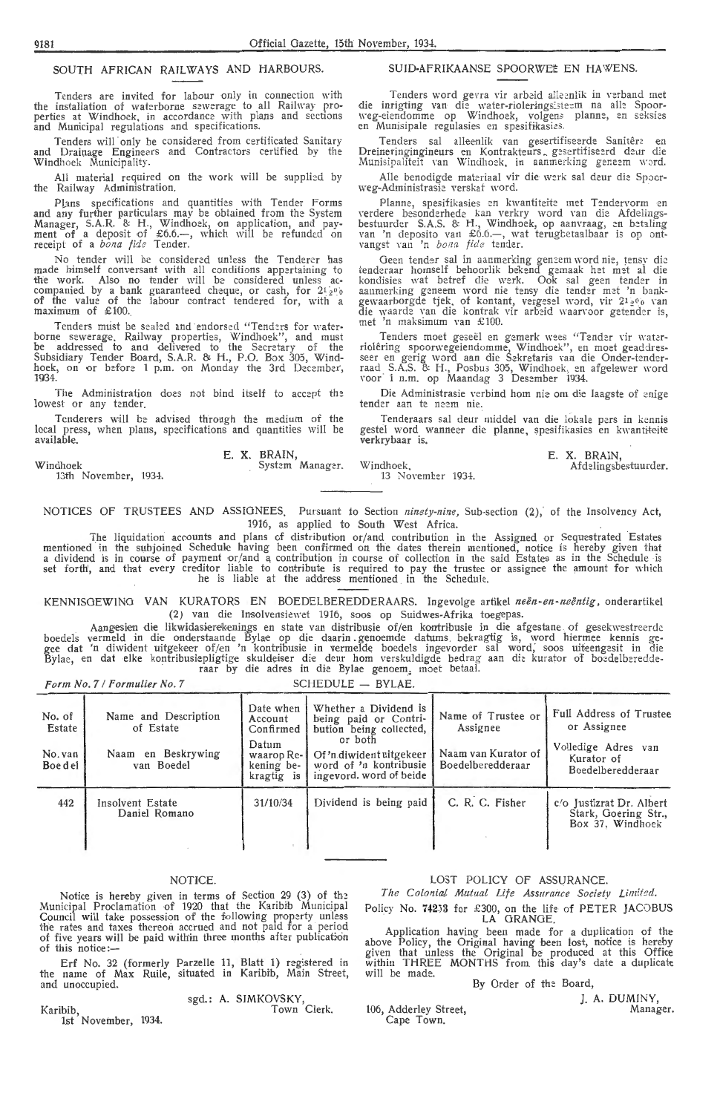### SOUTH AFRICAN RAILWAYS AND HARBOURS.

Tenders are invited for labour only in connection with<br>the installation of waterborne sewerage to all Railway pro-<br>perties at Windhoek, in accordance with plans and sections and Municipal regulations and specifications.

Tenders will only be considered from certificated Sanitary and Drainage Engineers and Contractors certified by the Windhoek Municipality.

Ali material required on the work will be supplied by the Railway Administration.

Plans specifications and quantities with Tender Forms<br>and any further particulars may be obtained from the System<br>Manager, S.A.R. & H., Windhoek, on application, and pay-<br>ment of a deposit of £6.6.—, which will be refunde

No tender will be considered unless the Tenderer has<br>made himself conversant with all conditions appertaining to<br>the work. Also no tender will be considered unless accompanied by a bank guaranteed cheque, or cash, for 21<sup>30</sup><sub>9</sub><br>of the value of the labour contract tendered for, with a maximum of  $£100$ .

Tenders must be sealed and endorsed "Tenders for water-<br>borne sewerage. Railway properties, Windhoek", and must<br>be addressed to and delivered to the Secretary of the<br>Subsidiary Tender Board, S.A.R. & H., P.O. Box 305, Wind 1934

The Administration does not bind itself to accept the lowest or any tender.

Tenderers will be advised through the medium of the local press, when plans, specifications and quantities will be available

Windhoel

13th November, 1934.

Form No. 7 / Formulier No. 7

E. X. BRAIN,<br>System Manager.

SUID-AFRIKAANSE SPOORWE# EN HAWENS

Tenders word gevra vir arbeid alleenlik in verband met<br>die inrigting van die water-rioleringsisteem na alle Spoor-<br>weg-eiendomme op Windhoek, volgens planne, en seksies en Munisipale regulasies en spesifikasies.

Tenders sal alleenlik van gesertifiseerde Sanitêre en<br>Dreineringingineurs en Kontrakteurs gesertifiseerd deur die<br>Munisipaliteit van Windhoek, in aanmerking geneem word.

Alle benodigde materiaal vir die werk sal deur die Spoorweg-Administrasis verskaf word

Planne, spesifikasies en kwantiteite met Tendervorm en<br>verdere besonderhede kan verkry word van die Afdelings-<br>bestuurder S.A.S. & H., Windhoek, op aanvraag, en betaling<br>van 'n deposito van £6.6.—, wat terugbetaalbaar is o vangst van 'n bona fide tender.

Geen tender sal in aanmerking geneem word nie, tensy die tenderaar homself behoorlik bekend gemaak het met al die kondisies wat betref die werk. Ook sal geen tender in aanmerking geneem word nie tensy die tender met 'n ban aanmerking geneem word me tensy die tender met 'n bank-<br>gewaarborgde tjek, of kontant, vergesel word, vir 2<sup>1</sup>2% van<br>die waarde van die kontrak vir arbeid waarvoor getender is, met 'n maksimum van £100.

Tenders moet geseël en gemerk wees "Tender vir water-<br>riolêring spoorwegeiendomme, Windhoek", en moet geaddres-<br>seer en gerig word aan die Sekretaris van die Onder-tender-<br>raad S.A.S. & H., Posbus 305, Windhoek, en afgelew

Die Administrasie verbind hom nie om die Jaagste of enige tender aan te neem nie.

Tenderaars sal deur middel van die lokale pers in kennis gestel word wanneer die planne, spesifikasies en kwantiteite verkrybaar is.

LOST POLICY OF ASSURANCE

The Colonial Mutual Life Assurance Society Limited Policy No. 74253 for £300, on the life of PETER JACOBUS<br>LA GRANGE.

Application having been made for a duplication of the above Policy, the Original having been lost, notice is hereby given that unless the Original be produced at this Office within THREE MONTHS from this day's date a dupli

.unoch.<br>13 November 1934

a. Daarry<br>Afdelingsbestuurder

NOTICES OF TRUSTEES AND ASSIGNEES. Pursuant to Section ninety-nine, Sub-section (2), of the Insolvency Act. 1916, as applied to South West Africa.

The liquidation accounts and plans of distribution or/and contribution in the Assigned or Sequestrated Estates<br>a dividend in the subjoined Schedule having been confirmed on the dates therein mentioned, notice is hereby giv

KENNISGEWING VAN KURATORS EN BOEDELBEREDDERAARS. Ingevolge artikel neën-en-neëntig, onderartikel (2) van die Insolvensiewet 1916, soos op Suidwes-Afrika toegepas

Aangesien die liewidasiereichenigs en state van die insovereiewet 1910, soos op Sudwes-Affikatioegepas.<br>boedels vermeld in die onderstaande Bylae op die daarin genoemde datums bekragtig is, word hiermee kennis ge-<br>gee dat

 $SCHFDULE = BVI AF$ 

| No. of<br>Estate<br>No. van<br>Boedel | Name and Description<br>of Estate<br>Naam en Beskrywing<br>van Boedel | Date when<br>Account<br>Confirmed<br>Datum<br>waarop Re-<br>kening be-<br>kragtig is | Whether a Dividend is<br>being paid or Contri-<br>bution being collected,<br>or both<br>Of 'n diwident uitgekeer<br>word of 'n kontribusie<br>ingevord, word of beide | Name of Trustee or<br>Assignee<br>Naam van Kurator of<br>Boedelberedderaar | Full Address of Trustee<br>or Assignee<br>Volledige Adres van<br>Kurator of<br>Boedelberedderaar |
|---------------------------------------|-----------------------------------------------------------------------|--------------------------------------------------------------------------------------|-----------------------------------------------------------------------------------------------------------------------------------------------------------------------|----------------------------------------------------------------------------|--------------------------------------------------------------------------------------------------|
| 442                                   | Insolvent Estate<br>Daniel Romano                                     | 31/10/34                                                                             | Dividend is being paid                                                                                                                                                | C. R. C. Fisher                                                            | c/o Justizrat Dr. Albert<br>Stark, Goering Str.,<br>Box 37, Windhoek                             |

### **NOTICE**

Notice is hereby given in terms of Section 29 (3) of the<br>Municipal Proclamation of 1920 that the Karibib Municipal<br>Council will take possession of the following property unless<br>the rates and taxes thereon accrued and not p of this notice:

Erf No. 32 (formerly Parzelle 11, Blatt 1) registered in<br>the name of Max Ruile, situated in Karibib, Main Street and unoccupied

sgd.: A. SIMKOVSKY,<br>Town Clerk Karibib,<br>1st November, 1934

106, Adderley Street Cape Town

will be made

By Order of the Board L. A. DUMINY

Manager

Windhoek

E. X. BRAIN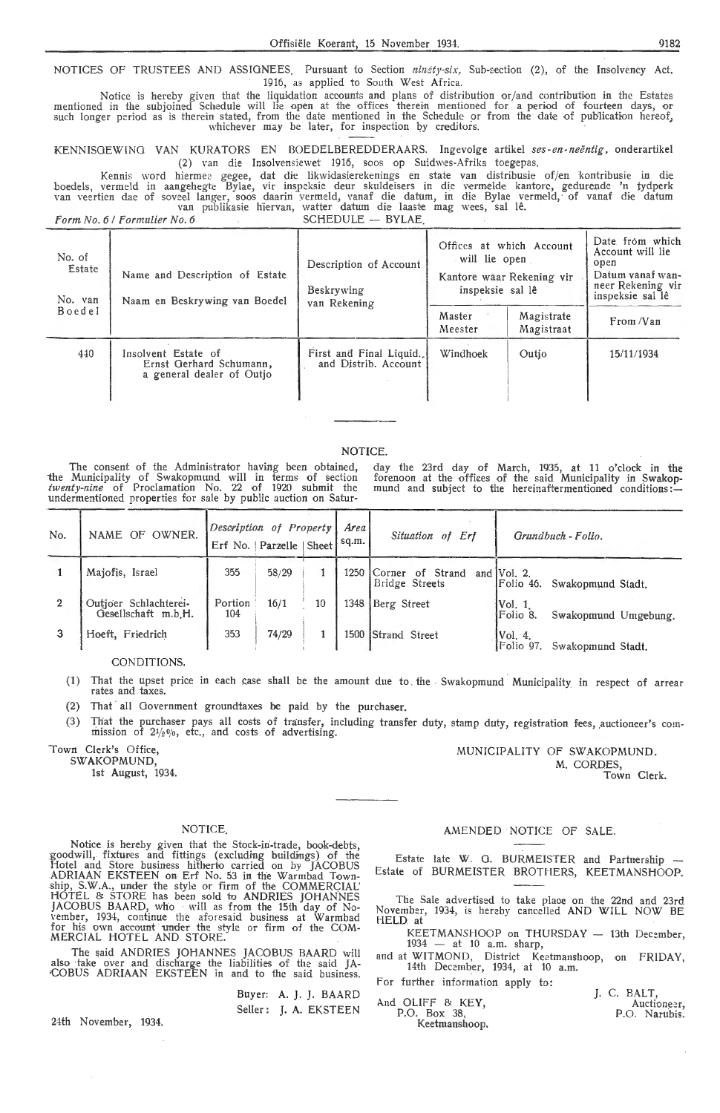NOTICES OF TRUSTEES AND ASSIGNEES. Pursuant to Section *ninety-six*, Sub-section (2), of the Insolvency Act. 1916, as applied to South West Africa.

Notice is hereby given that the liquidation accounts and plans of distribution or/ and contribution in the Estates mentioned in the subjoined Schedule will lie open at the offices therein mentioned for a period of fourteen days, or such longer period as is therein stated, from the date mentioned in the Schedule or from the date of publication hereof, whichever may be later, for inspection by creditors.

KENNISGEWINO VAN KURATORS EN BOEDELBEREDDERAARS. l ngevolge artikel *ses-en -neentig,* onderartikel (2) van die Insolvensiewet 1916, soos op Suidwes-Afrika toegepas.

Kennis word hiermee gegee, dat die likwidasierekenings en state van distribusie of/en kontribusie in die boedels, vermeld in aangehegte Bylae, vir inspeksie deur skuldeisers in die vermelde kantore, gedurende 'n tydperk van veertien dae of soveel langer, soos daarin vermeld, vanaf die datum, in die Bylae vermeld, of vanaf die datum van publikasie hiervan, watter datum die laaste mag wees, sal lê.

*Form No. 6 | Formulier No. 6* SCHEDULE - BYLAE.

| No. of<br>Estate<br>No. van | Name and Description of Estate<br>Naam en Beskrywing van Boedel             | Description of Account<br>Beskrywing<br>van Rekening | will lie open<br>inspeksie sal lê | Offices at which Account<br>Kantore waar Rekening vir | Date from which<br>Account will lie<br>open<br>Datum vanaf wan-<br>neer Rekening vir<br>inspeksie sal lê |
|-----------------------------|-----------------------------------------------------------------------------|------------------------------------------------------|-----------------------------------|-------------------------------------------------------|----------------------------------------------------------------------------------------------------------|
| Boedel                      |                                                                             |                                                      | Master<br>Meester                 | Magistrate<br>Magistraat                              | From /Van                                                                                                |
| 440                         | Insolvent Estate of<br>Ernst Gerhard Schumann,<br>a general dealer of Outjo | First and Final Liquid.<br>and Distrib. Account      | Windhoek                          | Outio                                                 | 15/11/1934                                                                                               |

### NOTICE.

The consent of the Administrator having been obtained, the Municipality of Swakopmund will in terms of section twenty-nine of Proclamation No. 22 of 1920 submit the undermentioned properties for sale by public auction on Satur-

day the 23rd day of March, 1935, at 11 o'clock in the forenoon at the offices of the said Municipality in Swakopmund and subject to the hereinaftermentioned conditions:

| No. | OWNER.<br>NAME OF                            | Description of Property<br>Erf No.   Parzelle   Sheet |       |    | Area<br>sq.m. | Situation of Erf                             | Grundbuch - Folio.                               |
|-----|----------------------------------------------|-------------------------------------------------------|-------|----|---------------|----------------------------------------------|--------------------------------------------------|
|     | Majofis, Israel                              | 355                                                   | 58/29 |    | 1250          | <b>Corner</b><br>of Strand<br>Bridge Streets | and $Vol. 2$ .<br>Folio 46.<br>Swakopmund Stadt. |
|     | Outjoer Schlachterei-<br>Gesellschaft m.b.H. | Portion<br>104                                        | 16/1  | 10 | 1348          | Berg Street                                  | [Vol. 1]<br>Folio 8.<br>Swakopmund Umgebung.     |
|     | Hoeft, Friedrich                             | 353                                                   | 74/29 |    | 1500          | Strand Street                                | Vol. 4.<br>Folio 97.<br>Swakopmund Stadt.        |

CONDITIONS.

(1) That the upset price in each case shall be the amount due to the Swakopmund Municipality in respect of arrear rates and taxes.

(2) That all Government groundtaxes be paid by the purchaser.

(3) That the purchaser pays all costs of transfer, including transfer duty, stamp duty, registration fees, auctioneer's com-<br>mission of  $21/20/0$ , etc., and costs of advertising.

Town Clerk's Office, SWAKOPMUND,

1st August, 1934.

NOTICE.

Notice is hereby given that the Stock-in-trade, book-debts, goodwill, fixtures and fittings (excluding buildings) of the Hotel and Store business hitherto carried on by JACOBUS ADRIAAN EKSTEEN on Erf No. 53 in the Warmbad Township, S.W.A., under the style or firm of the COMMERCIAL' HOTEL & STORE has been sold to ANDRIES JOHANNES JACOBUS BAARD, who will as from the 15th day of November, 1934, continue the aforesaid business at Warmbad for his own account under the style or firm of the COM-MERCIAL HOTEL AND STORE.

The said ANDRIES JOHANNES JACOBUS BAARD will also take over and discharge the liabilities of the said JA- ·COBUS ADRIAAN EKSTEEN in and to the said business.

> Buyer: A. J. J. BAARD Seller: **J.** A. EKSTEEN

24th November, 1934.

### AMENDED NOTICE OF SALE.

MUNICIPALITY OF SWAKOPMUND.

M. CORDES,

Town Clerk.

Estate late W. G. BURMEISTER and Partnership Estate of BURMEISTER BROTHERS, KEETMANSHOOP.

The Sale advertised to take plaoe on the 22nd and 23rd November, 1934, is hereby cancelled AND WILL NOW BE HELD at

KEETMANSHOOP on THURSDAY - 13th December,<br>1934 - at 10 a.m. sharp,

and at WITMOND, District Keetmanshoop, on FRIDAY, 14th December, 1934, at 10 a.m.

For further information apply to:

| And OLIFF & KEY.              |  | J. C. BALT.<br>Auctioneer, |
|-------------------------------|--|----------------------------|
| P.O. Box 38.<br>Keetmanshoop, |  | P.O. Narubis.              |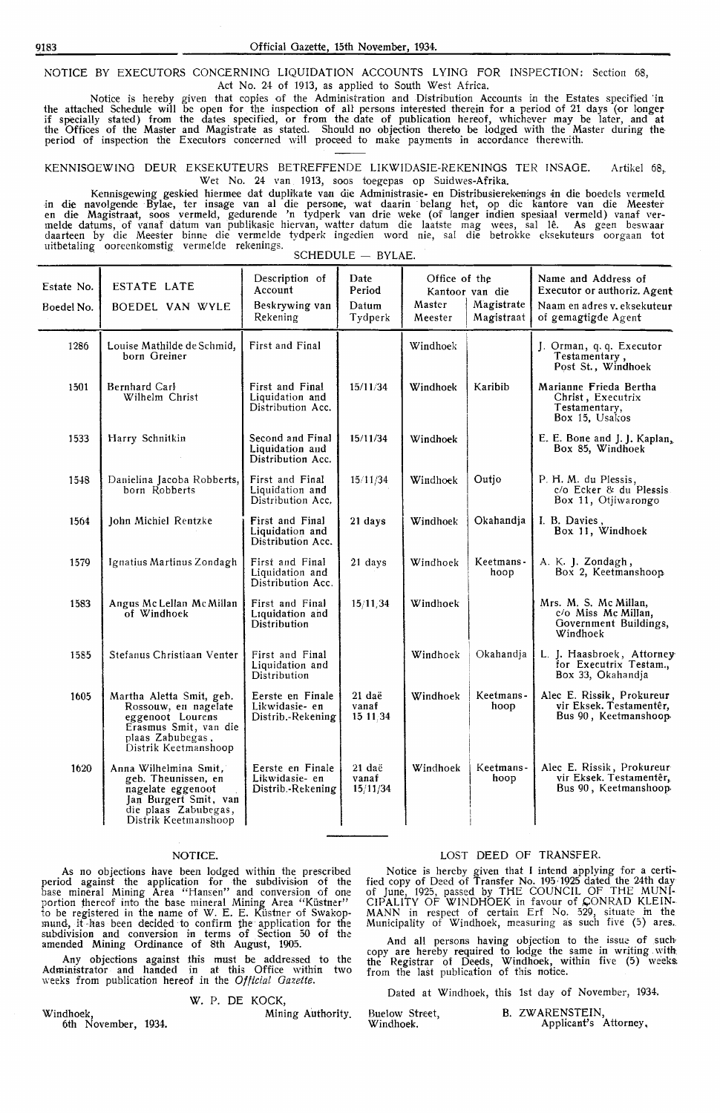NOTICE BY EXECUTORS CONCERNING LIQUIDATION ACCOUNTS LYING FOR INSPECTION: Section 68, Act No. 24- of 1913, as applied to South West Africa.

Notice is hereby given that copies of the Admtnistration and Distribution Accounts in the Estates specified 'in the attached Schedule will be open for the inspection of all persons interested therein for a period of 21 days (or longer if specially stated) from the dates specified, or from the date of publication hereof, whichever may be later, and at the Offices of the Master and Magistrate as stated. Should no objection thereto be lodged with the Master during theperiod of inspection the Executors concerned will proceed to make payments in accordance therewith.

KENNISOEWING DEUR EKSEKUTEURS BETREFFENDE LIKWIDASIE-REKENINOS TER INSAGE. Artikel 68, Wet No. 24 van 1913, soos toegepas op Suidwes-Afrika.

Kennisgewing geskied hiermee dat duplikate van die Administrasie- en Distribusierekenings in die boedels vermeld in die navolgende Bylae, ter insage van al die persone, wat daarin belang het, op die kantore van die Meester<br>en die Magistraat, soos vermeld, gedurende 'n tydperk van drie weke (of langer indien spesiaal vermeld) vanaf<br>me daarteen by die Meester binne die vermelde tydperk ingedien word nie, sal die betrokke •eksekuteurs oorgaan tot uitbetaling ooreenkomstig vermelde rekenings.<br>SCHEDULE - BYLAE.

**Description of Date Diffice of the Name and Address of Account Dependence Reserve Leapens C** Name and Address of Account Estate No. ESTATE LATE Account Account Period Kantoor van die Executor or authoriz. Agent<br>
Beskrywing van Datum Master | Magistrate Naam en adres v. eksekuteur Boedel No. BOEDEL VAN WYLE Beskrywing van Datum Master Magistrate<br>Magistraat Naam en adres v. eksekuteur of gemagtigde Agent 1286 | Louise Mathilde de Schmid, First and Final born Greiner Windhoek J. Orman, q. q. Executor Testamentary, Post St., Windhoek 1501 Bernhard Carl **First and Final 15/11/34 Windhoek Karibib** Marianne Frieda Bertha<br>
Wilhelm Christ Liquidation and 15/11/34 Windhoek Karibib Marianne Frieda Bertha Christ, Executrix Testamentary, Liquidation and Distribution Acc. Box 15, Usakos 1533 Harry Schnitkin Second and Final 15/11/34 Windhoek E. Bone and J. J. Kaplan, Distribution Acc. 1548 Danielina Jacoba Robberts, First and Final 15/11/34 Windhoek Outjo P. H. M. du Plessis, Liquidation and Distribution Acc. c/o Ecker & du Plessis Box 11, Otjiwarongo 1564 I John Michiel Rentzke **First and Final** Liquidation and Distribution Acc. 21 days Windhoek Okahandja I. B. Davies, Box 1 I, Windhoek 1579 | Ignatius Martinus Zondagh | First and Final Liquidation and Distribution Acc. 21 days | Windhoek | Keetmanshoop A. K. J. Zondagh, Box 2, Keetmanshoop 1583 1585 1605 1620 Angus Mc Lellan Mc Millan First and Final<br>of Windhoek Liquidation and Liquidation and Distribution Stefanus Christiaan Venter First and Final Liquidation and Distribution Martha Aletta Smit, geh. Rossouw, en nagelate eggenoot Lourens Erasmus Smit, van die plaas Zabubegas, Telesias , Distrik Keetmanshoop Anna Wilhelmina Smit, geb. Theunissen, en nagelate eggenoot Jan Burgert Smit, van<br>die plaas Zabubegas, Distrik Keetmanshoop Eerste en Finale<br>Likwidasie- en Distrib.- Rekening Eerste en Finale<br>Likwidasie- en Distrib.-Rekening 15/11,34 21 dae vanaf 151]34 21 dae vanaf 15/ll /34 Windhoek Mrs. M. S. Mc Millan, Commiss Mc Millan, Government Buildings, Windhoek Windhoek Okahandja L. J. Haasbroek, Attorney Windhoek | Keetmans -<br>hoop Windhoek Keetmans-<br>hoop for Executrix Testam., Box 33, Okahandja Alec E. Rissik, Prokureur vir Eksek. Testamenter, Bus 90 , Keetmanshoop, Alec E. Rissik, Prokureur vir Eksek. Testamentêr, Bus 90, Keetmanshoop

### NOTICE.

As no objections have been lodged within the prescribed period against the application for the subdivision of the base mineral Mining Area "Haneen" and conversion of one portion thereof into the base mineral Mining Area "Kiistner" to be registered in the name of W. E. E. Küstner of Swakopmund, it-has been decided to confirm the application for the subdivision and conversion in terms of Section 50 of the amended **Mining** Ordinance of 8th August, 1905.

**Any** objections against this must be addressed to the Administrator and handed in at this Office within two weeks from publication her-eof *in* the *Official Gazette.* 

### W. P. DE KOCK,

6th November, 1934.

Windhoek, Mining Authority.

### LOST DEED OF TRANSFER.

Notice is hereby given that I intend applying for a certified copy of Deed of Transfer No. 195/1925 dated the 24th day of June, 1925, passed by THE COUNCIL OF THE MUNI-CIPALITY OF WINDHOEK in favour of CONRAD KLEIN-MANN in respect of certain Erf No. 529, situate in the Municipality of Windhoek, measuring as such five (5) ares.

And all persons having objection to the issue of such copy are hereby required to lodge the same in writing with: the Registrar of Deeds, Windhoek, within five (5) weeks. from the last publication of this notice.

Dated at Windhoek, this 1st day of November, 1934.

| Buelow Street, | B. ZWARENSTEIN,       |  |
|----------------|-----------------------|--|
| Windhoek.      | Applicant's Attorney, |  |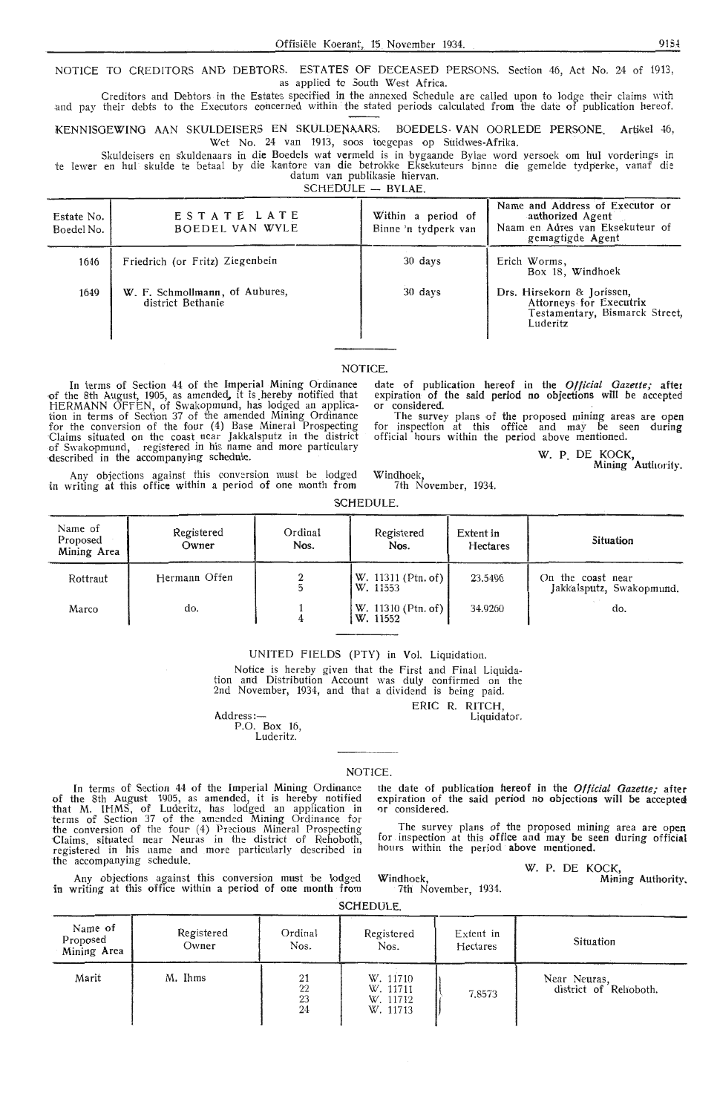NOTICE TO CREDITORS AND DEBTORS. ESTATES OF DECEASED PERSONS. Section 46, Act No. 24 of 1913, as applied to 5outh West Africa.

Creditors and Debtors in the Estates specified in the annexed Schedule are called upon to lodge their claims with and pay their debts to the Executors concerned within the stated periods calculated from the date of publication hereof.

KENNISGEWING AAN SKULDEISERS EN SKULDENAARS: BOEDELS- VAN OORLEDE PERSONE. Artikel 46. Wet No. 24 van 1913, soos toegepas op Suidwes-Afrika.

Skuldeisers en skuldenaars in die Boedels wat vermeld is in bygaande Bylae word versoek om hul vorderings in te lewer en hul skulde te betaal by die kantore van die betrokke Eksekuteurs binne die gemelde tydperke, vanaf die datum van publikasie hiervan.

 $SCHEDULE = BVIAE$ 

| Estate No.<br>Boedel No. | ESTATE LATE<br>BOEDEL VAN WYLE                      | Within a period of<br>Binne 'n tydperk van | Name and Address of Executor or<br>authorized Agent<br>Naam en Adres van Eksekuteur of<br>gemagtigde Agent |
|--------------------------|-----------------------------------------------------|--------------------------------------------|------------------------------------------------------------------------------------------------------------|
| 1646                     | Friedrich (or Fritz) Ziegenbein                     | 30 days                                    | Erich Worms,<br>Box 18, Windhoek                                                                           |
| 1649                     | W. F. Schmollmann, of Aubures,<br>district Bethanie | 30 days                                    | Drs. Hirsekorn & Jorissen,<br>Attorneys for Executrix<br>Testamentary, Bismarck Street,<br>Luderitz        |

### **NOTICE**

In terms of Section 44 of the Imperial Mining Ordinance <>f the 8th August, 1905, as amended., it is .hereby notified that HERMANN OFFEN, of Swakopmund, has lodged an application in terms of Section 37 of the amended Mining Ordinance for the conversion of the four (4) Base Mineral Prospecting Claims situated on the coast near Jakkalsputz in the district of Swakopmund, registered in his name and more particulary described in the accompanying schedule. date of pub'lication hereof in the *Official Gazette;* after expiration of the said period **no** objections will be accepted or considered.

The survey plans of the proposed mining areas are open for inspection at this office and may be seen during official hours within the period above mentioned.

W. P. DE KOCK,

Mining Authority.

Any objections against this conversion must be lodged in writing at this office within a period of one month from

Windhoek, 7th November, 1934.

| SCHEDULE. |
|-----------|
|-----------|

| Name of<br>Proposed<br>Mining Area | Registered<br>Owner | Ordinal<br>Nos. | Registered<br>Nos.             | Extent in<br>Hectares | <b>Situation</b>                              |
|------------------------------------|---------------------|-----------------|--------------------------------|-----------------------|-----------------------------------------------|
| Rottraut                           | Hermann Offen       |                 | W. 11311 (Ptn. of)<br>W. 11553 | 23.5496               | On the coast near<br>Jakkalsputz, Swakopmund. |
| Marco                              | do.                 |                 | W. 11310 (Ptn. of)<br>W. 11552 | 34.9260               | do.                                           |

### UNITED FIELDS (PTY) in Vol. Liquidation.

Notice is hereby given that the First and Final Liquida-<br>tion and Distribution Account was duly confirmed on the tion and Distribution Account was duly confirmed on the 2nd November, 1934, and that a dividend is being paid.

ERIC R. RITCH, Liquidator.

Address:—<br>P.O. Box 16, Luderitz.

**NOTICE** 

In terms of Section 44 of the Imperial Mining Ordinance of the 8th August 1905, as amended, it is hereby notified that M. IHMS, of Luderitz, has lodged an application in ierms of Section 37 of the amended Mining Ordinance for the conversion of the four (4) Precious Mineral Prospecting Claims. situated near Neuras in the district of Rehoboth, registered in his name and more particularly described in the accompanying schedule.

Any objections against this conversion must he lodged in writing at this office within a period of one month from

the date of publication hereof in the *Official Gazette;* after expiration of the said period no objections will be acceptea or considered

The survey plans of the proposed mining area are open for inspection at this office and may be seen during official hours within the period above mentioned.

W. P. DE KOCK

Mining Authority.

7th November, 1934.

Windhoek,

|  | SCHEDULE. |
|--|-----------|
|--|-----------|

| Name of<br>Proposed<br>Mining Area | Registered<br>Owner | Ordinal<br>Nos.      | Registered<br>Nos.                           | Extent in<br>Hectares | Situation                             |
|------------------------------------|---------------------|----------------------|----------------------------------------------|-----------------------|---------------------------------------|
| Marit                              | M. Ihms             | 21<br>22<br>23<br>24 | W. 11710<br>W. 11711<br>W. 11712<br>W. 11713 | 7,8573                | Near Neuras,<br>district of Rehoboth. |